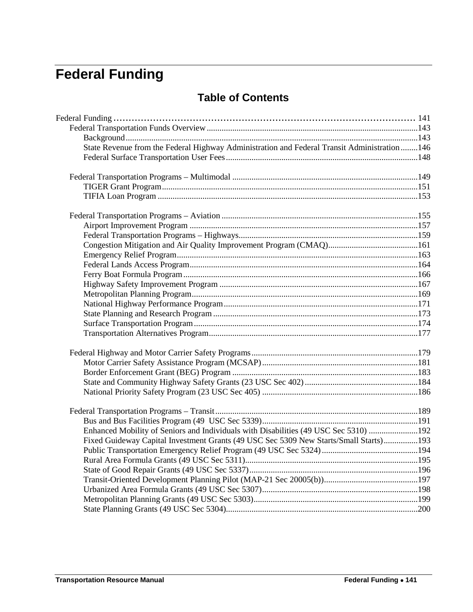# <span id="page-0-0"></span>**Federal Funding**

# **Table of Contents**

| State Revenue from the Federal Highway Administration and Federal Transit Administration146 |  |
|---------------------------------------------------------------------------------------------|--|
|                                                                                             |  |
|                                                                                             |  |
|                                                                                             |  |
|                                                                                             |  |
|                                                                                             |  |
|                                                                                             |  |
|                                                                                             |  |
|                                                                                             |  |
|                                                                                             |  |
|                                                                                             |  |
|                                                                                             |  |
|                                                                                             |  |
|                                                                                             |  |
|                                                                                             |  |
|                                                                                             |  |
|                                                                                             |  |
|                                                                                             |  |
|                                                                                             |  |
|                                                                                             |  |
|                                                                                             |  |
|                                                                                             |  |
|                                                                                             |  |
|                                                                                             |  |
|                                                                                             |  |
| Enhanced Mobility of Seniors and Individuals with Disabilities (49 USC Sec 5310) 192        |  |
| Fixed Guideway Capital Investment Grants (49 USC Sec 5309 New Starts/Small Starts)193       |  |
|                                                                                             |  |
|                                                                                             |  |
|                                                                                             |  |
|                                                                                             |  |
|                                                                                             |  |
|                                                                                             |  |
|                                                                                             |  |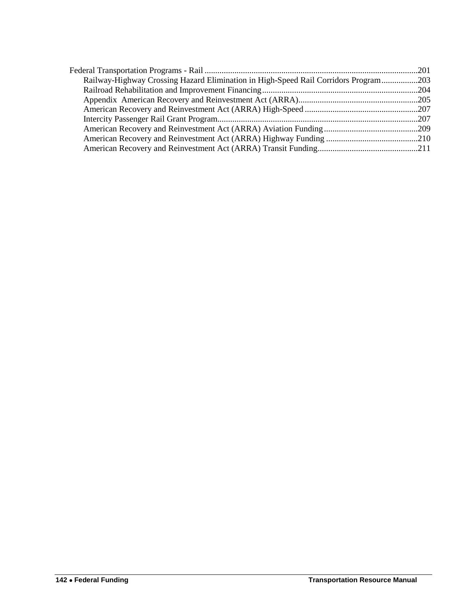| Railway-Highway Crossing Hazard Elimination in High-Speed Rail Corridors Program203 |  |
|-------------------------------------------------------------------------------------|--|
|                                                                                     |  |
|                                                                                     |  |
|                                                                                     |  |
|                                                                                     |  |
|                                                                                     |  |
|                                                                                     |  |
|                                                                                     |  |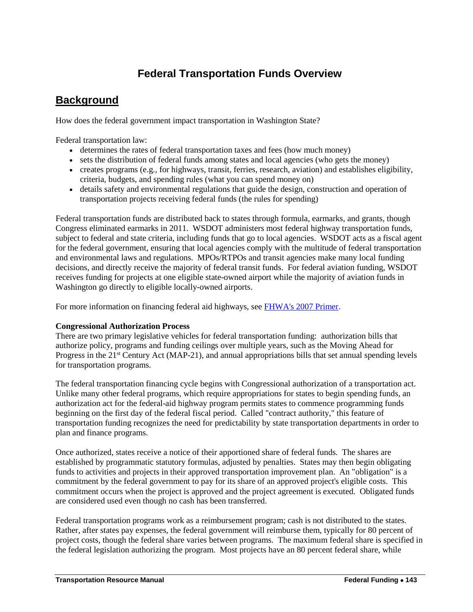# **Federal Transportation Funds Overview**

# <span id="page-2-1"></span><span id="page-2-0"></span>**Background**

How does the federal government impact transportation in Washington State?

Federal transportation law:

- determines the rates of federal transportation taxes and fees (how much money)
- sets the distribution of federal funds among states and local agencies (who gets the money)
- creates programs (e.g., for highways, transit, ferries, research, aviation) and establishes eligibility, criteria, budgets, and spending rules (what you can spend money on)
- details safety and environmental regulations that guide the design, construction and operation of transportation projects receiving federal funds (the rules for spending)

Federal transportation funds are distributed back to states through formula, earmarks, and grants, though Congress eliminated earmarks in 2011. WSDOT administers most federal highway transportation funds, subject to federal and state criteria, including funds that go to local agencies. WSDOT acts as a fiscal agent for the federal government, ensuring that local agencies comply with the multitude of federal transportation and environmental laws and regulations. MPOs/RTPOs and transit agencies make many local funding decisions, and directly receive the majority of federal transit funds. For federal aviation funding, WSDOT receives funding for projects at one eligible state-owned airport while the majority of aviation funds in Washington go directly to eligible locally-owned airports.

For more information on financing federal aid highways, see [FHWA's 2007 Primer.](http://www.fhwa.dot.gov/policy/olsp/financingfederalaid/)

# **Congressional Authorization Process**

There are two primary legislative vehicles for federal transportation funding: authorization bills that authorize policy, programs and funding ceilings over multiple years, such as the Moving Ahead for Progress in the 21<sup>st</sup> Century Act (MAP-21), and annual appropriations bills that set annual spending levels for transportation programs.

The federal transportation financing cycle begins with Congressional authorization of a transportation act. Unlike many other federal programs, which require appropriations for states to begin spending funds, an authorization act for the federal-aid highway program permits states to commence programming funds beginning on the first day of the federal fiscal period. Called "contract authority," this feature of transportation funding recognizes the need for predictability by state transportation departments in order to plan and finance programs.

Once authorized, states receive a notice of their apportioned share of federal funds. The shares are established by programmatic statutory formulas, adjusted by penalties. States may then begin obligating funds to activities and projects in their approved transportation improvement plan. An "obligation" is a commitment by the federal government to pay for its share of an approved project's eligible costs. This commitment occurs when the project is approved and the project agreement is executed. Obligated funds are considered used even though no cash has been transferred.

Federal transportation programs work as a reimbursement program; cash is not distributed to the states. Rather, after states pay expenses, the federal government will reimburse them, typically for 80 percent of project costs, though the federal share varies between programs. The maximum federal share is specified in the federal legislation authorizing the program. Most projects have an 80 percent federal share, while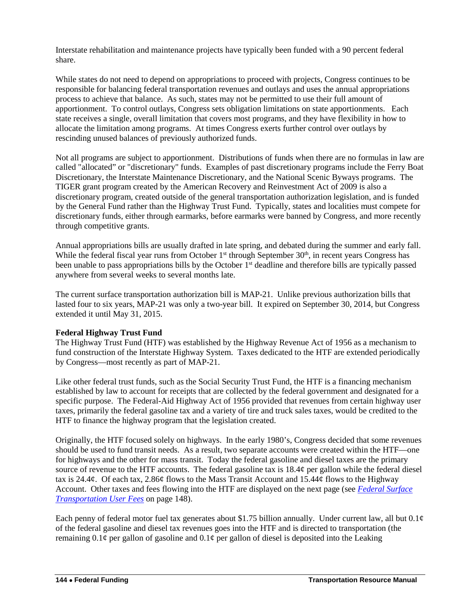Interstate rehabilitation and maintenance projects have typically been funded with a 90 percent federal share.

While states do not need to depend on appropriations to proceed with projects, Congress continues to be responsible for balancing federal transportation revenues and outlays and uses the annual appropriations process to achieve that balance. As such, states may not be permitted to use their full amount of apportionment. To control outlays, Congress sets obligation limitations on state apportionments. Each state receives a single, overall limitation that covers most programs, and they have flexibility in how to allocate the limitation among programs. At times Congress exerts further control over outlays by rescinding unused balances of previously authorized funds.

Not all programs are subject to apportionment. Distributions of funds when there are no formulas in law are called "allocated" or "discretionary" funds. Examples of past discretionary programs include the Ferry Boat Discretionary, the Interstate Maintenance Discretionary, and the National Scenic Byways programs. The TIGER grant program created by the American Recovery and Reinvestment Act of 2009 is also a discretionary program, created outside of the general transportation authorization legislation, and is funded by the General Fund rather than the Highway Trust Fund. Typically, states and localities must compete for discretionary funds, either through earmarks, before earmarks were banned by Congress, and more recently through competitive grants.

Annual appropriations bills are usually drafted in late spring, and debated during the summer and early fall. While the federal fiscal year runs from October  $1<sup>st</sup>$  through September  $30<sup>th</sup>$ , in recent years Congress has been unable to pass appropriations bills by the October 1<sup>st</sup> deadline and therefore bills are typically passed anywhere from several weeks to several months late.

The current surface transportation authorization bill is MAP-21. Unlike previous authorization bills that lasted four to six years, MAP-21 was only a two-year bill. It expired on September 30, 2014, but Congress extended it until May 31, 2015.

# **Federal Highway Trust Fund**

The Highway Trust Fund (HTF) was established by the Highway Revenue Act of 1956 as a mechanism to fund construction of the Interstate Highway System. Taxes dedicated to the HTF are extended periodically by Congress—most recently as part of MAP-21.

Like other federal trust funds, such as the Social Security Trust Fund, the HTF is a financing mechanism established by law to account for receipts that are collected by the federal government and designated for a specific purpose. The Federal-Aid Highway Act of 1956 provided that revenues from certain highway user taxes, primarily the federal gasoline tax and a variety of tire and truck sales taxes, would be credited to the HTF to finance the highway program that the legislation created.

Originally, the HTF focused solely on highways. In the early 1980's, Congress decided that some revenues should be used to fund transit needs. As a result, two separate accounts were created within the HTF—one for highways and the other for mass transit. Today the federal gasoline and diesel taxes are the primary source of revenue to the HTF accounts. The federal gasoline tax is 18.4¢ per gallon while the federal diesel tax is 24.4¢. Of each tax, 2.86¢ flows to the Mass Transit Account and 15.44¢ flows to the Highway Account. Other taxes and fees flowing into the HTF are displayed on the next page (see *[Federal Surface](#page-7-0)  [Transportation User Fees](#page-7-0)* on page 148).

Each penny of federal motor fuel tax generates about \$1.75 billion annually. Under current law, all but 0.1¢ of the federal gasoline and diesel tax revenues goes into the HTF and is directed to transportation (the remaining  $0.1\psi$  per gallon of gasoline and  $0.1\psi$  per gallon of diesel is deposited into the Leaking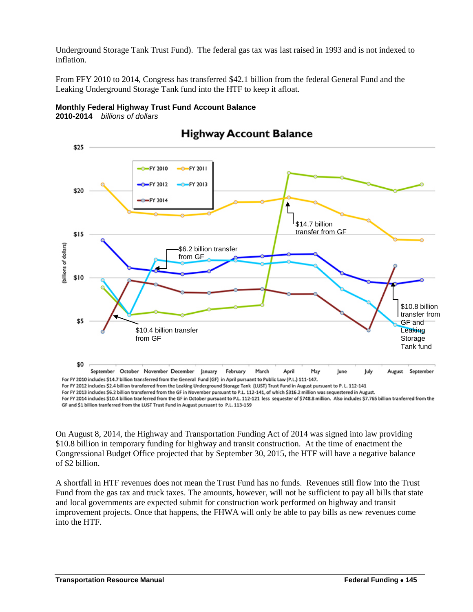Underground Storage Tank Trust Fund). The federal gas tax was last raised in 1993 and is not indexed to inflation.

From FFY 2010 to 2014, Congress has transferred \$42.1 billion from the federal General Fund and the Leaking Underground Storage Tank fund into the HTF to keep it afloat.



#### **Monthly Federal Highway Trust Fund Account Balance 2010-2014** *billions of dollars*

For FY 2013 includes \$6.2 billion transferred from the GF in November pursuant to P.L. 112-141, of which \$316.2 million was sequestered in August. For FY 2014 includes \$10.4 billion tranferred from the GF in October pursuant to P.L. 112-121 less sequester of \$748.8 million. Also includes \$7.765 billion tranferred from the GF and \$1 billion tranferred from the LUST Trust Fund in August pursuant to P.L. 113-159

On August 8, 2014, the Highway and Transportation Funding Act of 2014 was signed into law providing \$10.8 billion in temporary funding for highway and transit construction. At the time of enactment the Congressional Budget Office projected that by September 30, 2015, the HTF will have a negative balance of \$2 billion.

A shortfall in HTF revenues does not mean the Trust Fund has no funds. Revenues still flow into the Trust Fund from the gas tax and truck taxes. The amounts, however, will not be sufficient to pay all bills that state and local governments are expected submit for construction work performed on highway and transit improvement projects. Once that happens, the FHWA will only be able to pay bills as new revenues come into the HTF.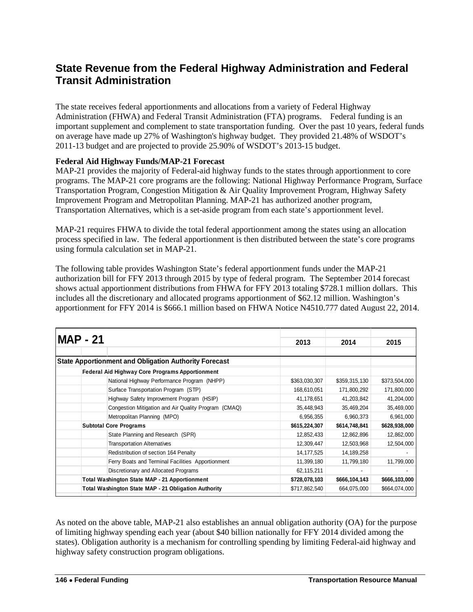# <span id="page-5-0"></span>**State Revenue from the Federal Highway Administration and Federal Transit Administration**

The state receives federal apportionments and allocations from a variety of Federal Highway Administration (FHWA) and Federal Transit Administration (FTA) programs. Federal funding is an important supplement and complement to state transportation funding. Over the past 10 years, federal funds on average have made up 27% of Washington's highway budget. They provided 21.48% of WSDOT's 2011-13 budget and are projected to provide 25.90% of WSDOT's 2013-15 budget.

# **Federal Aid Highway Funds/MAP-21 Forecast**

MAP-21 provides the majority of Federal-aid highway funds to the states through apportionment to core programs. The MAP-21 core programs are the following: National Highway Performance Program, Surface Transportation Program, Congestion Mitigation & Air Quality Improvement Program, Highway Safety Improvement Program and Metropolitan Planning. MAP-21 has authorized another program, Transportation Alternatives, which is a set-aside program from each state's apportionment level.

MAP-21 requires FHWA to divide the total federal apportionment among the states using an allocation process specified in law. The federal apportionment is then distributed between the state's core programs using formula calculation set in MAP-21.

The following table provides Washington State's federal apportionment funds under the MAP-21 authorization bill for FFY 2013 through 2015 by type of federal program. The September 2014 forecast shows actual apportionment distributions from FHWA for FFY 2013 totaling \$728.1 million dollars. This includes all the discretionary and allocated programs apportionment of \$62.12 million. Washington's apportionment for FFY 2014 is \$666.1 million based on FHWA Notice N4510.777 dated August 22, 2014.

|                                                      | <b>MAP - 21</b>                                              |               |               |               |
|------------------------------------------------------|--------------------------------------------------------------|---------------|---------------|---------------|
|                                                      |                                                              | 2013          | 2014          | 2015          |
|                                                      | <b>State Apportionment and Obligation Authority Forecast</b> |               |               |               |
|                                                      | <b>Federal Aid Highway Core Programs Apportionment</b>       |               |               |               |
|                                                      | National Highway Performance Program (NHPP)                  | \$363,030,307 | \$359,315,130 | \$373,504,000 |
|                                                      | Surface Transportation Program (STP)                         | 168,610,051   | 171,800,292   | 171,800,000   |
|                                                      | Highway Safety Improvement Program (HSIP)                    | 41,178,651    | 41,203,842    | 41,204,000    |
|                                                      | Congestion Mitigation and Air Quality Program (CMAQ)         | 35,448,943    | 35,469,204    | 35,469,000    |
|                                                      | Metropolitan Planning (MPO)                                  | 6,956,355     | 6,960,373     | 6,961,000     |
|                                                      | <b>Subtotal Core Programs</b>                                | \$615,224,307 | \$614,748,841 | \$628,938,000 |
|                                                      | State Planning and Research (SPR)                            | 12,852,433    | 12,862,896    | 12,862,000    |
|                                                      | <b>Transportation Alternatives</b>                           | 12,309,447    | 12,503,968    | 12,504,000    |
|                                                      | Redistribution of section 164 Penalty                        | 14, 177, 525  | 14,189,258    |               |
|                                                      | Ferry Boats and Terminal Facilities Apportionment            | 11,399,180    | 11,799,180    | 11,799,000    |
|                                                      | Discretionary and Allocated Programs                         | 62,115,211    |               |               |
|                                                      | Total Washington State MAP - 21 Apportionment                | \$728,078,103 | \$666,104,143 | \$666,103,000 |
| Total Washington State MAP - 21 Obligation Authority |                                                              | \$717,862,540 | 664,075,000   | \$664,074,000 |

As noted on the above table, MAP-21 also establishes an annual obligation authority (OA) for the purpose of limiting highway spending each year (about \$40 billion nationally for FFY 2014 divided among the states). Obligation authority is a mechanism for controlling spending by limiting Federal-aid highway and highway safety construction program obligations.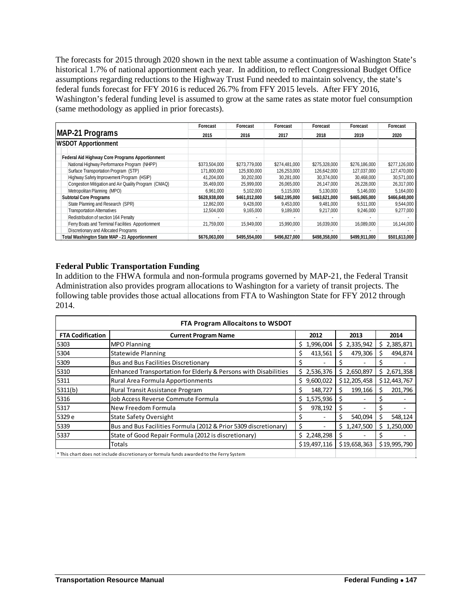The forecasts for 2015 through 2020 shown in the next table assume a continuation of Washington State's historical 1.7% of national apportionment each year. In addition, to reflect Congressional Budget Office assumptions regarding reductions to the Highway Trust Fund needed to maintain solvency, the state's federal funds forecast for FFY 2016 is reduced 26.7% from FFY 2015 levels. After FFY 2016, Washington's federal funding level is assumed to grow at the same rates as state motor fuel consumption (same methodology as applied in prior forecasts).

|                                                        | Forecast      | Forecast      | Forecast      | Forecast      | Forecast      | Forecast      |
|--------------------------------------------------------|---------------|---------------|---------------|---------------|---------------|---------------|
| <b>MAP-21 Programs</b>                                 | 2015          | 2016          | 2017          | 2018          | 2019          | 2020          |
| <b>WSDOT Apportionment</b>                             |               |               |               |               |               |               |
| <b>Federal Aid Highway Core Programs Apportionment</b> |               |               |               |               |               |               |
| National Highway Performance Program (NHPP)            | \$373,504,000 | \$273,779,000 | \$274,481,000 | \$275,328,000 | \$276,186,000 | \$277,126,000 |
| Surface Transportation Program (STP)                   | 171.800.000   | 125.930.000   | 126,253,000   | 126.642.000   | 127.037.000   | 127,470,000   |
| Highway Safety Improvement Program (HSIP)              | 41,204,000    | 30,202,000    | 30,281,000    | 30,374,000    | 30,468,000    | 30,571,000    |
| Congestion Mitigation and Air Quality Program (CMAQ)   | 35,469,000    | 25,999,000    | 26,065,000    | 26,147,000    | 26,228,000    | 26,317,000    |
| Metropolitan Planning (MPO)                            | 6.961.000     | 5,102,000     | 5.115.000     | 5,130,000     | 5.146.000     | 5,164,000     |
| <b>Subtotal Core Programs</b>                          | \$628,938,000 | \$461,012,000 | \$462,195,000 | \$463,621,000 | \$465,065,000 | \$466,648,000 |
| State Planning and Research (SPR)                      | 12.862.000    | 9.428.000     | 9,453,000     | 9,481,000     | 9.511.000     | 9,544,000     |
| <b>Transportation Alternatives</b>                     | 12.504.000    | 9.165.000     | 9.189.000     | 9.217.000     | 9.246.000     | 9.277.000     |
| Redistribution of section 164 Penalty                  |               |               |               |               |               |               |
| Ferry Boats and Terminal Facilities Apportionment      | 21,759,000    | 15.949.000    | 15,990,000    | 16,039,000    | 16,089,000    | 16,144,000    |
| Discretionary and Allocated Programs                   |               |               |               |               |               |               |
| Total Washington State MAP - 21 Apportionment          | \$676,063,000 | \$495,554,000 | \$496,827,000 | \$498,358,000 | \$499,911,000 | \$501,613,000 |

# **Federal Public Transportation Funding**

In addition to the FHWA formula and non-formula programs governed by MAP-21, the Federal Transit Administration also provides program allocations to Washington for a variety of transit projects. The following table provides those actual allocations from FTA to Washington State for FFY 2012 through 2014.

| <b>FTA Program Allocaitons to WSDOT</b>                      |                                                                                                      |                 |              |                |
|--------------------------------------------------------------|------------------------------------------------------------------------------------------------------|-----------------|--------------|----------------|
| <b>FTA Codification</b>                                      | <b>Current Program Name</b>                                                                          | 2012            | 2013         | 2014           |
| 5303                                                         | <b>MPO Planning</b>                                                                                  | 1,996,004<br>Ś. | \$2,335,942  | 2,385,871<br>S |
| 5304                                                         | <b>Statewide Planning</b><br>413,561<br>479,306<br>S<br>S                                            |                 |              | 494,874<br>S   |
| 5309                                                         | <b>Bus and Bus Facilities Discretionary</b>                                                          |                 |              |                |
| 5310                                                         | Enhanced Transportation for Elderly & Persons with Disabilities<br>\$2,650,897<br>\$2,536,376<br>\$. |                 | 2,671,358    |                |
| 5311<br>9,600,022<br>Rural Area Formula Apportionments<br>Ś. |                                                                                                      | \$12,205,458    | \$12,443,767 |                |
| 3311(b)                                                      | 199,166<br>148,727<br>Rural Transit Assistance Program                                               |                 | 201,796      |                |
| 5316                                                         | 1,575,936<br>Job Access Reverse Commute Formula<br>Ś.                                                |                 |              |                |
| 5317                                                         | New Freedom Formula                                                                                  | 978,192<br>Ś    |              |                |
| 5329 e                                                       | <b>State Safety Oversight</b>                                                                        |                 | 540,094      | 548,124<br>Ś   |
| 5339                                                         | Bus and Bus Facilities Formula (2012 & Prior 5309 discretionary)<br>Ś<br>1,247,500<br>S.             |                 | \$1,250,000  |                |
| 5337                                                         | State of Good Repair Formula (2012 is discretionary)                                                 | \$2,248,298     | S            |                |
|                                                              | Totals                                                                                               | \$19,497,116    | \$19,658,363 | \$19,995,790   |
|                                                              | * This chart does not include discretionary or formula funds awarded to the Ferry System             |                 |              |                |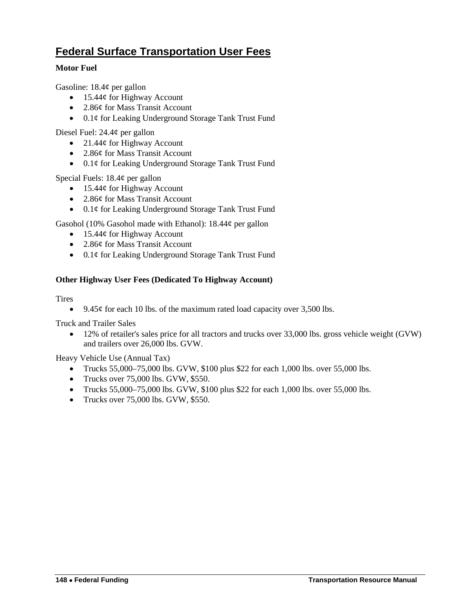# <span id="page-7-0"></span>**Federal Surface Transportation User Fees**

# **Motor Fuel**

Gasoline:  $18.4\phi$  per gallon

- 15.44¢ for Highway Account
- 2.86¢ for Mass Transit Account
- 0.1¢ for Leaking Underground Storage Tank Trust Fund

Diesel Fuel: 24.4¢ per gallon

- 21.44¢ for Highway Account
- 2.86¢ for Mass Transit Account
- 0.1¢ for Leaking Underground Storage Tank Trust Fund

Special Fuels: 18.4¢ per gallon

- 15.44¢ for Highway Account
- 2.86¢ for Mass Transit Account
- 0.1¢ for Leaking Underground Storage Tank Trust Fund

Gasohol (10% Gasohol made with Ethanol): 18.44¢ per gallon

- 15.44¢ for Highway Account
- 2.86¢ for Mass Transit Account
- 0.1¢ for Leaking Underground Storage Tank Trust Fund

# **Other Highway User Fees (Dedicated To Highway Account)**

# Tires

• 9.45 $\phi$  for each 10 lbs. of the maximum rated load capacity over 3,500 lbs.

Truck and Trailer Sales

• 12% of retailer's sales price for all tractors and trucks over 33,000 lbs. gross vehicle weight (GVW) and trailers over 26,000 lbs. GVW.

Heavy Vehicle Use (Annual Tax)

- Trucks 55,000–75,000 lbs. GVW, \$100 plus \$22 for each 1,000 lbs. over 55,000 lbs.
- Trucks over 75,000 lbs. GVW, \$550.
- Trucks 55,000–75,000 lbs. GVW, \$100 plus \$22 for each 1,000 lbs. over 55,000 lbs.
- Trucks over 75,000 lbs. GVW, \$550.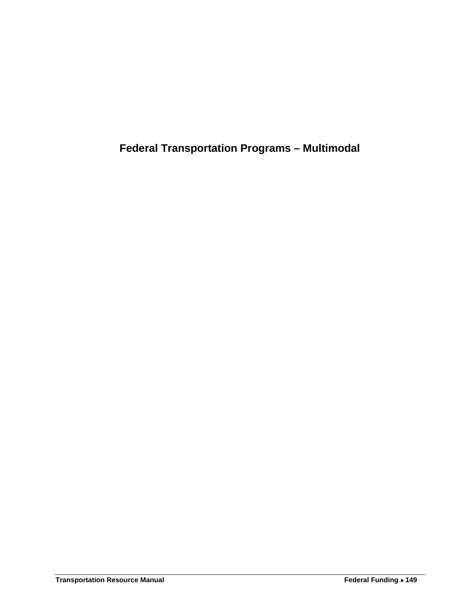<span id="page-8-0"></span>**Federal Transportation Programs – Multimodal**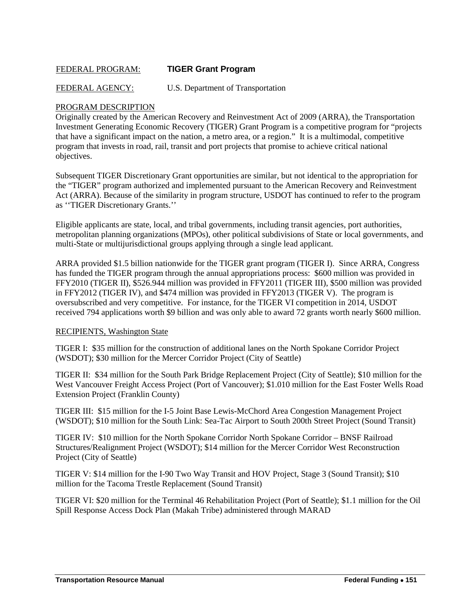# <span id="page-10-0"></span>FEDERAL PROGRAM: **TIGER Grant Program**

FEDERAL AGENCY: U.S. Department of Transportation

# PROGRAM DESCRIPTION

Originally created by the American Recovery and Reinvestment Act of 2009 (ARRA), the Transportation Investment Generating Economic Recovery (TIGER) Grant Program is a competitive program for "projects that have a significant impact on the nation, a metro area, or a region." It is a multimodal, competitive program that invests in road, rail, transit and port projects that promise to achieve critical national objectives.

Subsequent TIGER Discretionary Grant opportunities are similar, but not identical to the appropriation for the "TIGER" program authorized and implemented pursuant to the American Recovery and Reinvestment Act (ARRA). Because of the similarity in program structure, USDOT has continued to refer to the program as ''TIGER Discretionary Grants.''

Eligible applicants are state, local, and tribal governments, including transit agencies, port authorities, metropolitan planning organizations (MPOs), other political subdivisions of State or local governments, and multi-State or multijurisdictional groups applying through a single lead applicant.

ARRA provided \$1.5 billion nationwide for the TIGER grant program (TIGER I). Since ARRA, Congress has funded the TIGER program through the annual appropriations process: \$600 million was provided in FFY2010 (TIGER II), \$526.944 million was provided in FFY2011 (TIGER III), \$500 million was provided in FFY2012 (TIGER IV), and \$474 million was provided in FFY2013 (TIGER V). The program is oversubscribed and very competitive. For instance, for the TIGER VI competition in 2014, USDOT received 794 applications worth \$9 billion and was only able to award 72 grants worth nearly \$600 million.

# RECIPIENTS, Washington State

TIGER I: \$35 million for the construction of additional lanes on the North Spokane Corridor Project (WSDOT); \$30 million for the Mercer Corridor Project (City of Seattle)

TIGER II: \$34 million for the South Park Bridge Replacement Project (City of Seattle); \$10 million for the West Vancouver Freight Access Project (Port of Vancouver); \$1.010 million for the East Foster Wells Road Extension Project (Franklin County)

TIGER III: \$15 million for the I-5 Joint Base Lewis-McChord Area Congestion Management Project (WSDOT); \$10 million for the South Link: Sea-Tac Airport to South 200th Street Project (Sound Transit)

TIGER IV: \$10 million for the North Spokane Corridor North Spokane Corridor – BNSF Railroad Structures/Realignment Project (WSDOT); \$14 million for the Mercer Corridor West Reconstruction Project (City of Seattle)

TIGER V: \$14 million for the I-90 Two Way Transit and HOV Project, Stage 3 (Sound Transit); \$10 million for the Tacoma Trestle Replacement (Sound Transit)

TIGER VI: \$20 million for the Terminal 46 Rehabilitation Project (Port of Seattle); \$1.1 million for the Oil Spill Response Access Dock Plan (Makah Tribe) administered through MARAD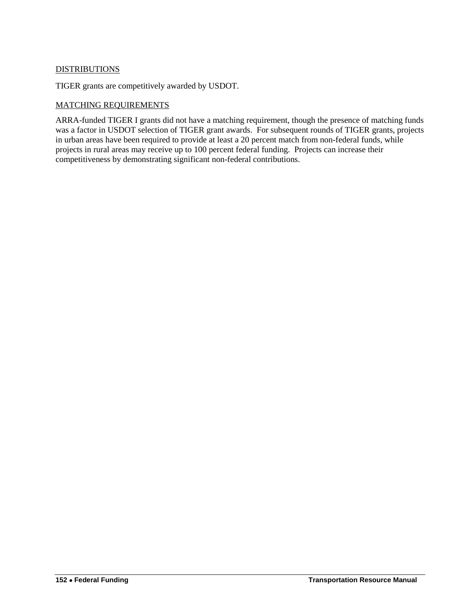# **DISTRIBUTIONS**

TIGER grants are competitively awarded by USDOT.

# MATCHING REQUIREMENTS

ARRA-funded TIGER I grants did not have a matching requirement, though the presence of matching funds was a factor in USDOT selection of TIGER grant awards. For subsequent rounds of TIGER grants, projects in urban areas have been required to provide at least a 20 percent match from non-federal funds, while projects in rural areas may receive up to 100 percent federal funding. Projects can increase their competitiveness by demonstrating significant non-federal contributions.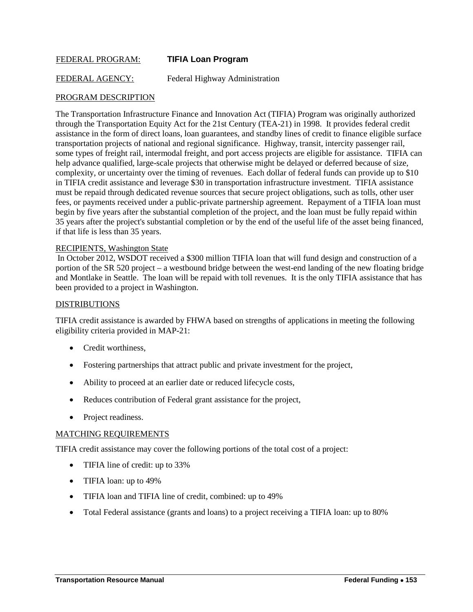# <span id="page-12-0"></span>FEDERAL PROGRAM: **TIFIA Loan Program**

FEDERAL AGENCY: Federal Highway Administration

# PROGRAM DESCRIPTION

The Transportation Infrastructure Finance and Innovation Act (TIFIA) Program was originally authorized through the Transportation Equity Act for the 21st Century (TEA-21) in 1998. It provides federal credit assistance in the form of direct loans, loan guarantees, and standby lines of credit to finance eligible surface transportation projects of national and regional significance. Highway, transit, intercity passenger rail, some types of freight rail, intermodal freight, and port access projects are eligible for assistance. TIFIA can help advance qualified, large-scale projects that otherwise might be delayed or deferred because of size, complexity, or uncertainty over the timing of revenues. Each dollar of federal funds can provide up to \$10 in TIFIA credit assistance and leverage \$30 in transportation infrastructure investment. TIFIA assistance must be repaid through dedicated revenue sources that secure project obligations, such as tolls, other user fees, or payments received under a public-private partnership agreement. Repayment of a TIFIA loan must begin by five years after the substantial completion of the project, and the loan must be fully repaid within 35 years after the project's substantial completion or by the end of the useful life of the asset being financed, if that life is less than 35 years.

#### RECIPIENTS, Washington State

In October 2012, WSDOT received a \$300 million TIFIA loan that will fund design and construction of a portion of the SR 520 project – a westbound bridge between the west-end landing of the new floating bridge and Montlake in Seattle. The loan will be repaid with toll revenues. It is the only TIFIA assistance that has been provided to a project in Washington.

#### DISTRIBUTIONS

TIFIA credit assistance is awarded by FHWA based on strengths of applications in meeting the following eligibility criteria provided in MAP-21:

- Credit worthiness.
- Fostering partnerships that attract public and private investment for the project,
- Ability to proceed at an earlier date or reduced lifecycle costs,
- Reduces contribution of Federal grant assistance for the project,
- Project readiness.

#### MATCHING REQUIREMENTS

TIFIA credit assistance may cover the following portions of the total cost of a project:

- TIFIA line of credit: up to 33%
- TIFIA loan: up to 49%
- TIFIA loan and TIFIA line of credit, combined: up to 49%
- Total Federal assistance (grants and loans) to a project receiving a TIFIA loan: up to 80%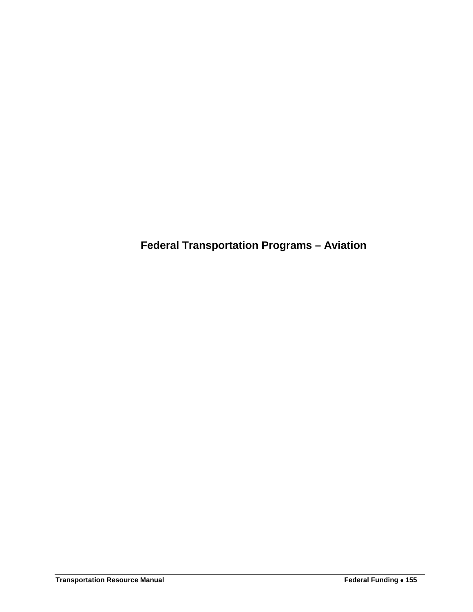<span id="page-14-0"></span>**Federal Transportation Programs – Aviation**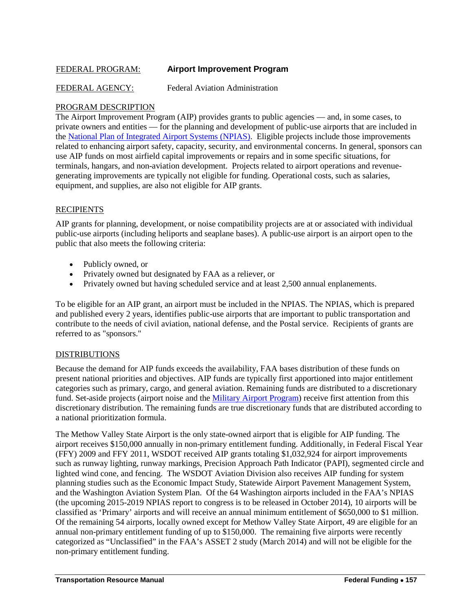# <span id="page-16-0"></span>FEDERAL PROGRAM: **Airport Improvement Program**

FEDERAL AGENCY: Federal Aviation Administration

#### PROGRAM DESCRIPTION

The Airport Improvement Program (AIP) provides grants to public agencies — and, in some cases, to private owners and entities — for the planning and development of public-use airports that are included in the [National Plan of Integrated Airport Systems \(NPIAS\).](http://www.faa.gov/airports/planning_capacity/npias/) Eligible projects include those improvements related to enhancing airport safety, capacity, security, and environmental concerns. In general, sponsors can use AIP funds on most airfield capital improvements or repairs and in some specific situations, for terminals, hangars, and non-aviation development. Projects related to airport operations and revenuegenerating improvements are typically not eligible for funding. Operational costs, such as salaries, equipment, and supplies, are also not eligible for AIP grants.

# **RECIPIENTS**

AIP grants for planning, development, or noise compatibility projects are at or associated with individual public-use airports (including heliports and seaplane bases). A public-use airport is an airport open to the public that also meets the following criteria:

- Publicly owned, or
- Privately owned but designated by FAA as a reliever, or
- Privately owned but having scheduled service and at least 2,500 annual enplanements.

To be eligible for an AIP grant, an airport must be included in the NPIAS. The NPIAS, which is prepared and published every 2 years, identifies public-use airports that are important to public transportation and contribute to the needs of civil aviation, national defense, and the Postal service. Recipients of grants are referred to as "sponsors."

#### DISTRIBUTIONS

Because the demand for AIP funds exceeds the availability, FAA bases distribution of these funds on present national priorities and objectives. AIP funds are typically first apportioned into major entitlement categories such as primary, cargo, and general aviation. Remaining funds are distributed to a discretionary fund. Set-aside projects (airport noise and the *Military Airport Program*) receive first attention from this discretionary distribution. The remaining funds are true discretionary funds that are distributed according to a national prioritization formula.

The Methow Valley State Airport is the only state-owned airport that is eligible for AIP funding. The airport receives \$150,000 annually in non-primary entitlement funding. Additionally, in Federal Fiscal Year (FFY) 2009 and FFY 2011, WSDOT received AIP grants totaling \$1,032,924 for airport improvements such as runway lighting, runway markings, Precision Approach Path Indicator (PAPI), segmented circle and lighted wind cone, and fencing. The WSDOT Aviation Division also receives AIP funding for system planning studies such as the Economic Impact Study, Statewide Airport Pavement Management System, and the Washington Aviation System Plan. Of the 64 Washington airports included in the FAA's NPIAS (the upcoming 2015-2019 NPIAS report to congress is to be released in October 2014), 10 airports will be classified as 'Primary' airports and will receive an annual minimum entitlement of \$650,000 to \$1 million. Of the remaining 54 airports, locally owned except for Methow Valley State Airport, 49 are eligible for an annual non-primary entitlement funding of up to \$150,000. The remaining five airports were recently categorized as "Unclassified" in the FAA's ASSET 2 study (March 2014) and will not be eligible for the non-primary entitlement funding.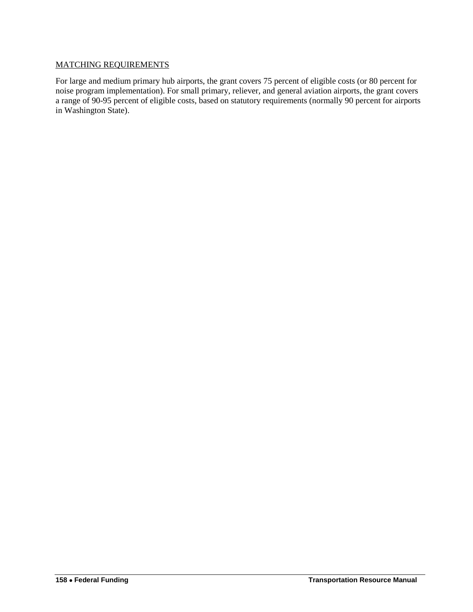# MATCHING REQUIREMENTS

For large and medium primary hub airports, the grant covers 75 percent of eligible costs (or 80 percent for noise program implementation). For small primary, reliever, and general aviation airports, the grant covers a range of 90-95 percent of eligible costs, based on statutory requirements (normally 90 percent for airports in Washington State).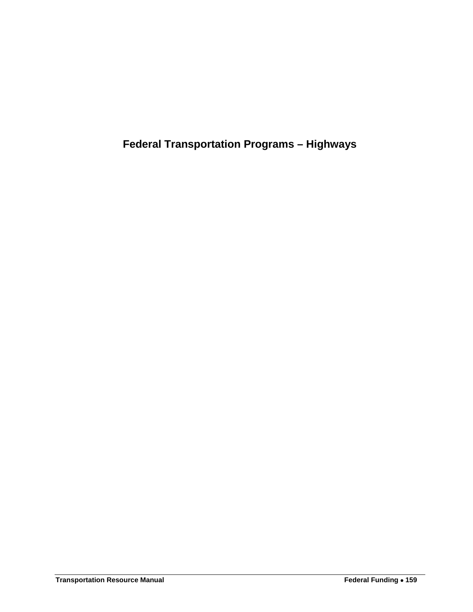<span id="page-18-0"></span>**Federal Transportation Programs – Highways**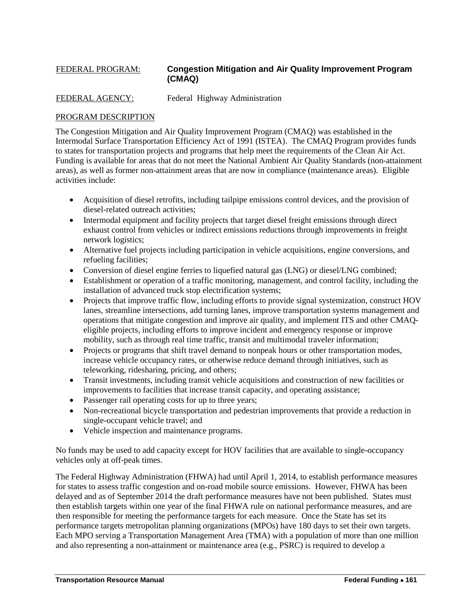# <span id="page-20-0"></span>FEDERAL PROGRAM: **Congestion Mitigation and Air Quality Improvement Program (CMAQ)**

FEDERAL AGENCY: Federal Highway Administration

# PROGRAM DESCRIPTION

The Congestion Mitigation and Air Quality Improvement Program (CMAQ) was established in the Intermodal Surface Transportation Efficiency Act of 1991 (ISTEA). The CMAQ Program provides funds to states for transportation projects and programs that help meet the requirements of the Clean Air Act. Funding is available for areas that do not meet the National Ambient Air Quality Standards (non-attainment areas), as well as former non-attainment areas that are now in compliance (maintenance areas). Eligible activities include:

- Acquisition of diesel retrofits, including tailpipe emissions control devices, and the provision of diesel-related outreach activities;
- Intermodal equipment and facility projects that target diesel freight emissions through direct exhaust control from vehicles or indirect emissions reductions through improvements in freight network logistics;
- Alternative fuel projects including participation in vehicle acquisitions, engine conversions, and refueling facilities;
- Conversion of diesel engine ferries to liquefied natural gas (LNG) or diesel/LNG combined;
- Establishment or operation of a traffic monitoring, management, and control facility, including the installation of advanced truck stop electrification systems;
- Projects that improve traffic flow, including efforts to provide signal systemization, construct HOV lanes, streamline intersections, add turning lanes, improve transportation systems management and operations that mitigate congestion and improve air quality, and implement ITS and other CMAQeligible projects, including efforts to improve incident and emergency response or improve mobility, such as through real time traffic, transit and multimodal traveler information;
- Projects or programs that shift travel demand to nonpeak hours or other transportation modes, increase vehicle occupancy rates, or otherwise reduce demand through initiatives, such as teleworking, ridesharing, pricing, and others;
- Transit investments, including transit vehicle acquisitions and construction of new facilities or improvements to facilities that increase transit capacity, and operating assistance;
- Passenger rail operating costs for up to three years;
- Non-recreational bicycle transportation and pedestrian improvements that provide a reduction in single-occupant vehicle travel; and
- Vehicle inspection and maintenance programs.

No funds may be used to add capacity except for HOV facilities that are available to single-occupancy vehicles only at off-peak times.

The Federal Highway Administration (FHWA) had until April 1, 2014, to establish performance measures for states to assess traffic congestion and on-road mobile source emissions. However, FHWA has been delayed and as of September 2014 the draft performance measures have not been published. States must then establish targets within one year of the final FHWA rule on national performance measures, and are then responsible for meeting the performance targets for each measure. Once the State has set its performance targets metropolitan planning organizations (MPOs) have 180 days to set their own targets. Each MPO serving a Transportation Management Area (TMA) with a population of more than one million and also representing a non-attainment or maintenance area (e.g., PSRC) is required to develop a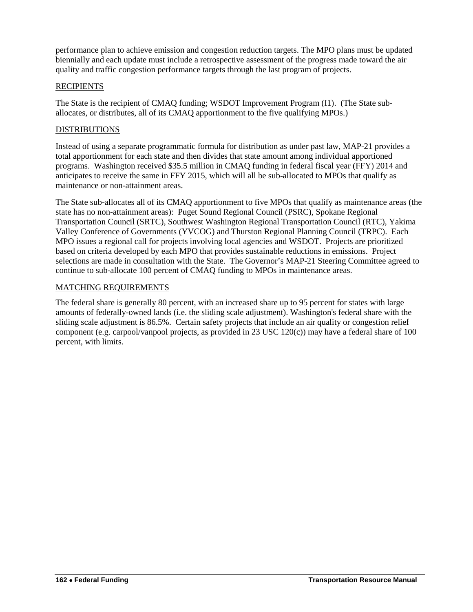performance plan to achieve emission and congestion reduction targets. The MPO plans must be updated biennially and each update must include a retrospective assessment of the progress made toward the air quality and traffic congestion performance targets through the last program of projects.

# **RECIPIENTS**

The State is the recipient of CMAQ funding; WSDOT Improvement Program (I1). (The State suballocates, or distributes, all of its CMAQ apportionment to the five qualifying MPOs.)

# DISTRIBUTIONS

Instead of using a separate programmatic formula for distribution as under past law, MAP-21 provides a total apportionment for each state and then divides that state amount among individual apportioned programs. Washington received \$35.5 million in CMAQ funding in federal fiscal year (FFY) 2014 and anticipates to receive the same in FFY 2015, which will all be sub-allocated to MPOs that qualify as maintenance or non-attainment areas.

The State sub-allocates all of its CMAQ apportionment to five MPOs that qualify as maintenance areas (the state has no non-attainment areas): Puget Sound Regional Council (PSRC), Spokane Regional Transportation Council (SRTC), Southwest Washington Regional Transportation Council (RTC), Yakima Valley Conference of Governments (YVCOG) and Thurston Regional Planning Council (TRPC). Each MPO issues a regional call for projects involving local agencies and WSDOT. Projects are prioritized based on criteria developed by each MPO that provides sustainable reductions in emissions. Project selections are made in consultation with the State. The Governor's MAP-21 Steering Committee agreed to continue to sub-allocate 100 percent of CMAQ funding to MPOs in maintenance areas.

# MATCHING REQUIREMENTS

The federal share is generally 80 percent, with an increased share up to 95 percent for states with large amounts of federally-owned lands (i.e. the sliding scale adjustment). Washington's federal share with the sliding scale adjustment is 86.5%. Certain safety projects that include an air quality or congestion relief component (e.g. carpool/vanpool projects, as provided in 23 USC 120(c)) may have a federal share of 100 percent, with limits.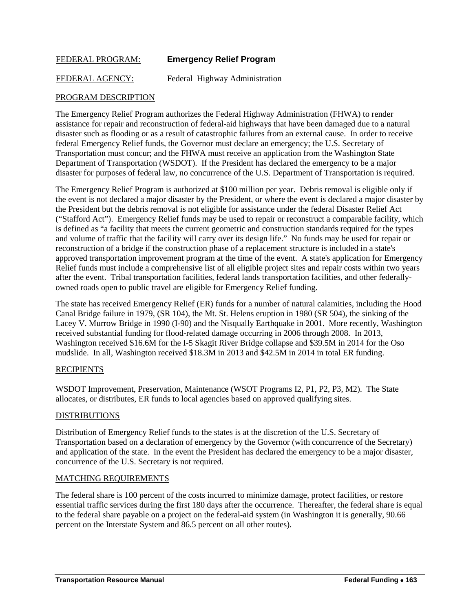# <span id="page-22-0"></span>FEDERAL PROGRAM: **Emergency Relief Program**

FEDERAL AGENCY: Federal Highway Administration

# PROGRAM DESCRIPTION

The Emergency Relief Program authorizes the Federal Highway Administration (FHWA) to render assistance for repair and reconstruction of federal-aid highways that have been damaged due to a natural disaster such as flooding or as a result of catastrophic failures from an external cause. In order to receive federal Emergency Relief funds, the Governor must declare an emergency; the U.S. Secretary of Transportation must concur; and the FHWA must receive an application from the Washington State Department of Transportation (WSDOT). If the President has declared the emergency to be a major disaster for purposes of federal law, no concurrence of the U.S. Department of Transportation is required.

The Emergency Relief Program is authorized at \$100 million per year. Debris removal is eligible only if the event is not declared a major disaster by the President, or where the event is declared a major disaster by the President but the debris removal is not eligible for assistance under the federal Disaster Relief Act ("Stafford Act"). Emergency Relief funds may be used to repair or reconstruct a comparable facility, which is defined as "a facility that meets the current geometric and construction standards required for the types and volume of traffic that the facility will carry over its design life." No funds may be used for repair or reconstruction of a bridge if the construction phase of a replacement structure is included in a state's approved transportation improvement program at the time of the event. A state's application for Emergency Relief funds must include a comprehensive list of all eligible project sites and repair costs within two years after the event. Tribal transportation facilities, federal lands transportation facilities, and other federallyowned roads open to public travel are eligible for Emergency Relief funding.

The state has received Emergency Relief (ER) funds for a number of natural calamities, including the Hood Canal Bridge failure in 1979, (SR 104), the Mt. St. Helens eruption in 1980 (SR 504), the sinking of the Lacey V. Murrow Bridge in 1990 (I-90) and the Nisqually Earthquake in 2001. More recently, Washington received substantial funding for flood-related damage occurring in 2006 through 2008. In 2013, Washington received \$16.6M for the I-5 Skagit River Bridge collapse and \$39.5M in 2014 for the Oso mudslide. In all, Washington received \$18.3M in 2013 and \$42.5M in 2014 in total ER funding.

# RECIPIENTS

WSDOT Improvement, Preservation, Maintenance (WSOT Programs I2, P1, P2, P3, M2). The State allocates, or distributes, ER funds to local agencies based on approved qualifying sites.

#### DISTRIBUTIONS

Distribution of Emergency Relief funds to the states is at the discretion of the U.S. Secretary of Transportation based on a declaration of emergency by the Governor (with concurrence of the Secretary) and application of the state. In the event the President has declared the emergency to be a major disaster, concurrence of the U.S. Secretary is not required.

# MATCHING REQUIREMENTS

The federal share is 100 percent of the costs incurred to minimize damage, protect facilities, or restore essential traffic services during the first 180 days after the occurrence. Thereafter, the federal share is equal to the federal share payable on a project on the federal-aid system (in Washington it is generally, 90.66 percent on the Interstate System and 86.5 percent on all other routes).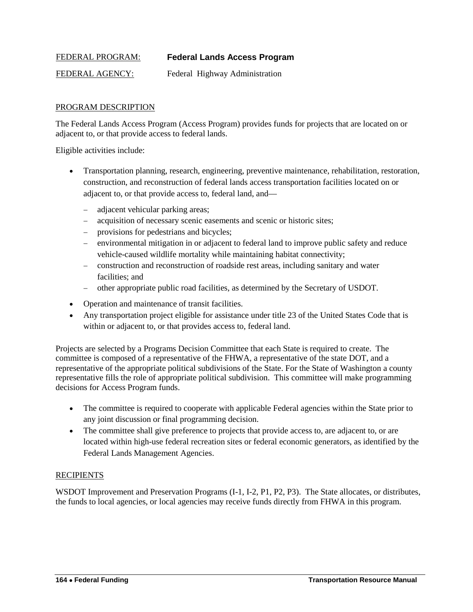# <span id="page-23-0"></span>FEDERAL PROGRAM: **Federal Lands Access Program**

FEDERAL AGENCY: Federal Highway Administration

# PROGRAM DESCRIPTION

The Federal Lands Access Program (Access Program) provides funds for projects that are located on or adjacent to, or that provide access to federal lands.

Eligible activities include:

- Transportation planning, research, engineering, preventive maintenance, rehabilitation, restoration, construction, and reconstruction of federal lands access transportation facilities located on or adjacent to, or that provide access to, federal land, and—
	- − adjacent vehicular parking areas;
	- − acquisition of necessary scenic easements and scenic or historic sites;
	- − provisions for pedestrians and bicycles;
	- − environmental mitigation in or adjacent to federal land to improve public safety and reduce vehicle-caused wildlife mortality while maintaining habitat connectivity;
	- − construction and reconstruction of roadside rest areas, including sanitary and water facilities; and
	- − other appropriate public road facilities, as determined by the Secretary of USDOT.
- Operation and maintenance of transit facilities.
- Any transportation project eligible for assistance under title 23 of the United States Code that is within or adjacent to, or that provides access to, federal land.

Projects are selected by a Programs Decision Committee that each State is required to create. The committee is composed of a representative of the FHWA, a representative of the state DOT, and a representative of the appropriate political subdivisions of the State. For the State of Washington a county representative fills the role of appropriate political subdivision. This committee will make programming decisions for Access Program funds.

- The committee is required to cooperate with applicable Federal agencies within the State prior to any joint discussion or final programming decision.
- The committee shall give preference to projects that provide access to, are adjacent to, or are located within high-use federal recreation sites or federal economic generators, as identified by the Federal Lands Management Agencies.

# **RECIPIENTS**

WSDOT Improvement and Preservation Programs (I-1, I-2, P1, P2, P3). The State allocates, or distributes, the funds to local agencies, or local agencies may receive funds directly from FHWA in this program.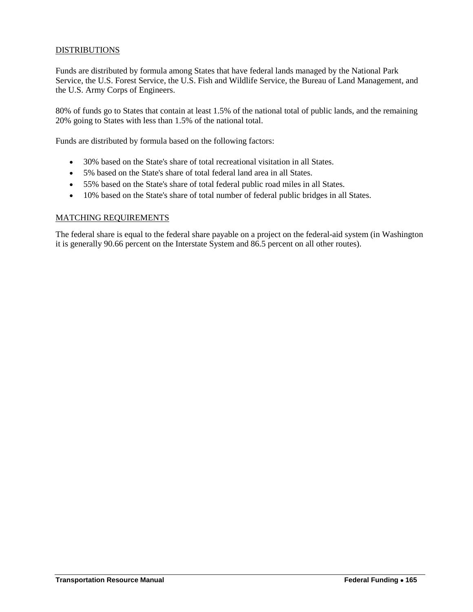# DISTRIBUTIONS

Funds are distributed by formula among States that have federal lands managed by the National Park Service, the U.S. Forest Service, the U.S. Fish and Wildlife Service, the Bureau of Land Management, and the U.S. Army Corps of Engineers.

80% of funds go to States that contain at least 1.5% of the national total of public lands, and the remaining 20% going to States with less than 1.5% of the national total.

Funds are distributed by formula based on the following factors:

- 30% based on the State's share of total recreational visitation in all States.
- 5% based on the State's share of total federal land area in all States.
- 55% based on the State's share of total federal public road miles in all States.
- 10% based on the State's share of total number of federal public bridges in all States.

# MATCHING REQUIREMENTS

The federal share is equal to the federal share payable on a project on the federal-aid system (in Washington it is generally 90.66 percent on the Interstate System and 86.5 percent on all other routes).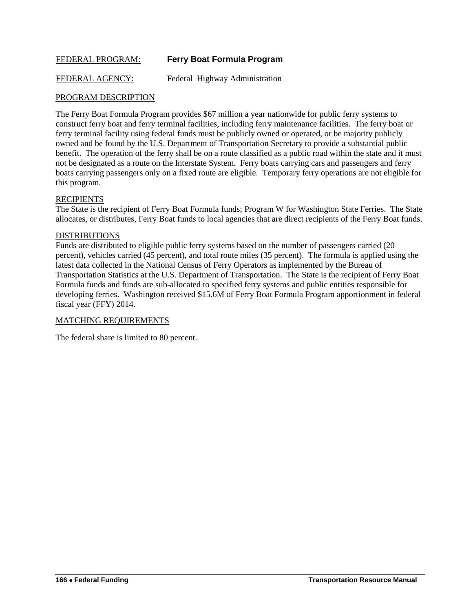# <span id="page-25-0"></span>FEDERAL PROGRAM: **Ferry Boat Formula Program**

FEDERAL AGENCY: Federal Highway Administration

# PROGRAM DESCRIPTION

The Ferry Boat Formula Program provides \$67 million a year nationwide for public ferry systems to construct ferry boat and ferry terminal facilities, including ferry maintenance facilities. The ferry boat or ferry terminal facility using federal funds must be publicly owned or operated, or be majority publicly owned and be found by the U.S. Department of Transportation Secretary to provide a substantial public benefit. The operation of the ferry shall be on a route classified as a public road within the state and it must not be designated as a route on the Interstate System. Ferry boats carrying cars and passengers and ferry boats carrying passengers only on a fixed route are eligible. Temporary ferry operations are not eligible for this program.

# **RECIPIENTS**

The State is the recipient of Ferry Boat Formula funds; Program W for Washington State Ferries. The State allocates, or distributes, Ferry Boat funds to local agencies that are direct recipients of the Ferry Boat funds.

#### **DISTRIBUTIONS**

Funds are distributed to eligible public ferry systems based on the number of passengers carried (20 percent), vehicles carried (45 percent), and total route miles (35 percent). The formula is applied using the latest data collected in the National Census of Ferry Operators as implemented by the Bureau of Transportation Statistics at the U.S. Department of Transportation. The State is the recipient of Ferry Boat Formula funds and funds are sub-allocated to specified ferry systems and public entities responsible for developing ferries. Washington received \$15.6M of Ferry Boat Formula Program apportionment in federal fiscal year (FFY) 2014.

# MATCHING REQUIREMENTS

The federal share is limited to 80 percent.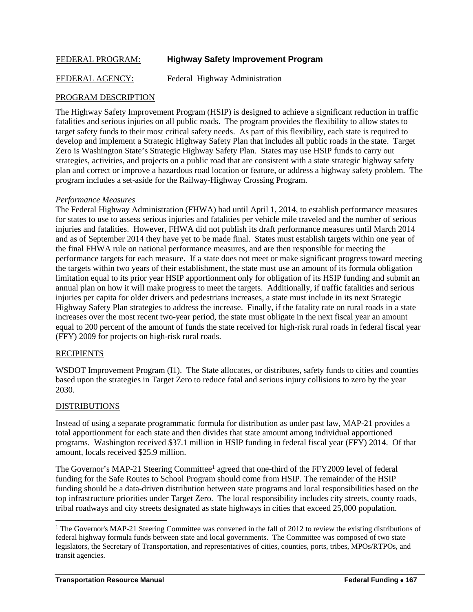# <span id="page-26-0"></span>FEDERAL PROGRAM: **Highway Safety Improvement Program**

FEDERAL AGENCY: Federal Highway Administration

# PROGRAM DESCRIPTION

The Highway Safety Improvement Program (HSIP) is designed to achieve a significant reduction in traffic fatalities and serious injuries on all public roads. The program provides the flexibility to allow states to target safety funds to their most critical safety needs. As part of this flexibility, each state is required to develop and implement a Strategic Highway Safety Plan that includes all public roads in the state. Target Zero is Washington State's Strategic Highway Safety Plan. States may use HSIP funds to carry out strategies, activities, and projects on a public road that are consistent with a state strategic highway safety plan and correct or improve a hazardous road location or feature, or address a highway safety problem. The program includes a set-aside for the Railway-Highway Crossing Program.

#### *Performance Measures*

The Federal Highway Administration (FHWA) had until April 1, 2014, to establish performance measures for states to use to assess serious injuries and fatalities per vehicle mile traveled and the number of serious injuries and fatalities. However, FHWA did not publish its draft performance measures until March 2014 and as of September 2014 they have yet to be made final. States must establish targets within one year of the final FHWA rule on national performance measures, and are then responsible for meeting the performance targets for each measure. If a state does not meet or make significant progress toward meeting the targets within two years of their establishment, the state must use an amount of its formula obligation limitation equal to its prior year HSIP apportionment only for obligation of its HSIP funding and submit an annual plan on how it will make progress to meet the targets. Additionally, if traffic fatalities and serious injuries per capita for older drivers and pedestrians increases, a state must include in its next Strategic Highway Safety Plan strategies to address the increase. Finally, if the fatality rate on rural roads in a state increases over the most recent two-year period, the state must obligate in the next fiscal year an amount equal to 200 percent of the amount of funds the state received for high-risk rural roads in federal fiscal year (FFY) 2009 for projects on high-risk rural roads.

# **RECIPIENTS**

WSDOT Improvement Program (I1). The State allocates, or distributes, safety funds to cities and counties based upon the strategies in Target Zero to reduce fatal and serious injury collisions to zero by the year 2030.

# DISTRIBUTIONS

 $\overline{a}$ 

Instead of using a separate programmatic formula for distribution as under past law, MAP-21 provides a total apportionment for each state and then divides that state amount among individual apportioned programs. Washington received \$37.1 million in HSIP funding in federal fiscal year (FFY) 2014. Of that amount, locals received \$25.9 million.

The Governor's MAP-2[1](#page-26-1) Steering Committee<sup>1</sup> agreed that one-third of the FFY2009 level of federal funding for the Safe Routes to School Program should come from HSIP. The remainder of the HSIP funding should be a data-driven distribution between state programs and local responsibilities based on the top infrastructure priorities under Target Zero. The local responsibility includes city streets, county roads, tribal roadways and city streets designated as state highways in cities that exceed 25,000 population.

<span id="page-26-1"></span><sup>&</sup>lt;sup>1</sup> The Governor's MAP-21 Steering Committee was convened in the fall of 2012 to review the existing distributions of federal highway formula funds between state and local governments. The Committee was composed of two state legislators, the Secretary of Transportation, and representatives of cities, counties, ports, tribes, MPOs/RTPOs, and transit agencies.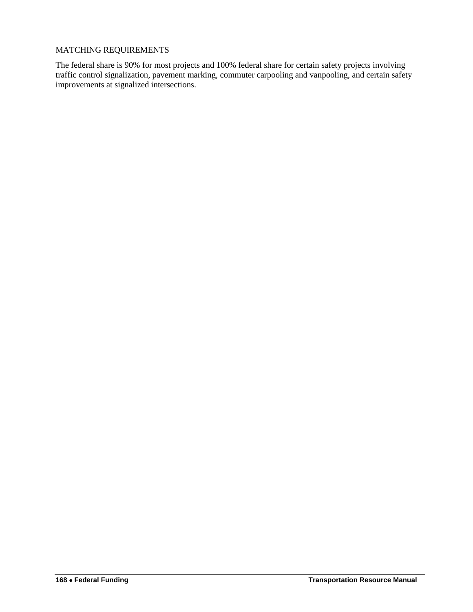# MATCHING REQUIREMENTS

The federal share is 90% for most projects and 100% federal share for certain safety projects involving traffic control signalization, pavement marking, commuter carpooling and vanpooling, and certain safety improvements at signalized intersections.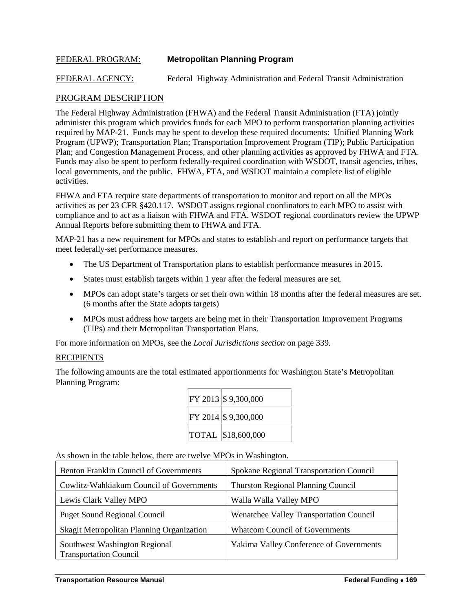# <span id="page-28-0"></span>FEDERAL PROGRAM: **Metropolitan Planning Program**

FEDERAL AGENCY: Federal Highway Administration and Federal Transit Administration

# PROGRAM DESCRIPTION

The Federal Highway Administration (FHWA) and the Federal Transit Administration (FTA) jointly administer this program which provides funds for each MPO to perform transportation planning activities required by MAP-21. Funds may be spent to develop these required documents: Unified Planning Work Program (UPWP); Transportation Plan; Transportation Improvement Program (TIP); Public Participation Plan; and Congestion Management Process, and other planning activities as approved by FHWA and FTA. Funds may also be spent to perform federally-required coordination with WSDOT, transit agencies, tribes, local governments, and the public. FHWA, FTA, and WSDOT maintain a complete list of eligible activities.

FHWA and FTA require state departments of transportation to monitor and report on all the MPOs activities as per 23 CFR §420.117. WSDOT assigns regional coordinators to each MPO to assist with compliance and to act as a liaison with FHWA and FTA. WSDOT regional coordinators review the UPWP Annual Reports before submitting them to FHWA and FTA.

MAP-21 has a new requirement for MPOs and states to establish and report on performance targets that meet federally-set performance measures.

- The US Department of Transportation plans to establish performance measures in 2015.
- States must establish targets within 1 year after the federal measures are set.
- MPOs can adopt state's targets or set their own within 18 months after the federal measures are set. (6 months after the State adopts targets)
- MPOs must address how targets are being met in their Transportation Improvement Programs (TIPs) and their Metropolitan Transportation Plans.

For more information on MPOs, see the *Local Jurisdictions section* on page 339*.*

# **RECIPIENTS**

The following amounts are the total estimated apportionments for Washington State's Metropolitan Planning Program:

|  | FY 2013 \$9,300,000 |
|--|---------------------|
|  | FY 2014 \$9,300,000 |
|  | TOTAL \\$18,600,000 |

As shown in the table below, there are twelve MPOs in Washington.

| <b>Benton Franklin Council of Governments</b>                  | Spokane Regional Transportation Council        |
|----------------------------------------------------------------|------------------------------------------------|
| Cowlitz-Wahkiakum Council of Governments                       | <b>Thurston Regional Planning Council</b>      |
| Lewis Clark Valley MPO                                         | Walla Walla Valley MPO                         |
| <b>Puget Sound Regional Council</b>                            | Wenatchee Valley Transportation Council        |
| Skagit Metropolitan Planning Organization                      | <b>Whatcom Council of Governments</b>          |
| Southwest Washington Regional<br><b>Transportation Council</b> | <b>Yakima Valley Conference of Governments</b> |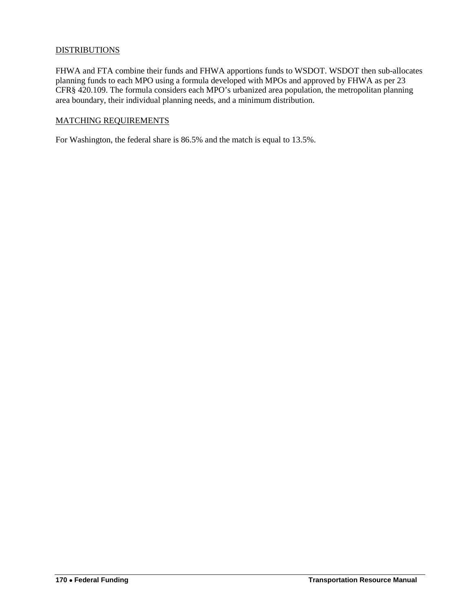# **DISTRIBUTIONS**

FHWA and FTA combine their funds and FHWA apportions funds to WSDOT. WSDOT then sub-allocates planning funds to each MPO using a formula developed with MPOs and approved by FHWA as per 23 CFR§ 420.109. The formula considers each MPO's urbanized area population, the metropolitan planning area boundary, their individual planning needs, and a minimum distribution.

#### MATCHING REQUIREMENTS

For Washington, the federal share is 86.5% and the match is equal to 13.5%.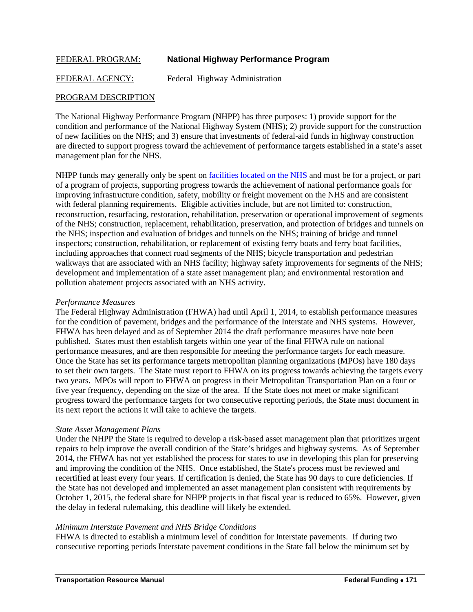# <span id="page-30-0"></span>FEDERAL PROGRAM: **National Highway Performance Program**

FEDERAL AGENCY: Federal Highway Administration

# PROGRAM DESCRIPTION

The National Highway Performance Program (NHPP) has three purposes: 1) provide support for the condition and performance of the National Highway System (NHS); 2) provide support for the construction of new facilities on the NHS; and 3) ensure that investments of federal-aid funds in highway construction are directed to support progress toward the achievement of performance targets established in a state's asset management plan for the NHS.

NHPP funds may generally only be spent on [facilities located on the NHS](http://www.wsdot.wa.gov/mapsdata/travel/hpms/NHSRoutes.htm) and must be for a project, or part of a program of projects, supporting progress towards the achievement of national performance goals for improving infrastructure condition, safety, mobility or freight movement on the NHS and are consistent with federal planning requirements. Eligible activities include, but are not limited to: construction, reconstruction, resurfacing, restoration, rehabilitation, preservation or operational improvement of segments of the NHS; construction, replacement, rehabilitation, preservation, and protection of bridges and tunnels on the NHS; inspection and evaluation of bridges and tunnels on the NHS; training of bridge and tunnel inspectors; construction, rehabilitation, or replacement of existing ferry boats and ferry boat facilities, including approaches that connect road segments of the NHS; bicycle transportation and pedestrian walkways that are associated with an NHS facility; highway safety improvements for segments of the NHS; development and implementation of a state asset management plan; and environmental restoration and pollution abatement projects associated with an NHS activity.

#### *Performance Measures*

The Federal Highway Administration (FHWA) had until April 1, 2014, to establish performance measures for the condition of pavement, bridges and the performance of the Interstate and NHS systems. However, FHWA has been delayed and as of September 2014 the draft performance measures have note been published. States must then establish targets within one year of the final FHWA rule on national performance measures, and are then responsible for meeting the performance targets for each measure. Once the State has set its performance targets metropolitan planning organizations (MPOs) have 180 days to set their own targets. The State must report to FHWA on its progress towards achieving the targets every two years. MPOs will report to FHWA on progress in their Metropolitan Transportation Plan on a four or five year frequency, depending on the size of the area. If the State does not meet or make significant progress toward the performance targets for two consecutive reporting periods, the State must document in its next report the actions it will take to achieve the targets.

# *State Asset Management Plans*

Under the NHPP the State is required to develop a risk-based asset management plan that prioritizes urgent repairs to help improve the overall condition of the State's bridges and highway systems. As of September 2014, the FHWA has not yet established the process for states to use in developing this plan for preserving and improving the condition of the NHS. Once established, the State's process must be reviewed and recertified at least every four years. If certification is denied, the State has 90 days to cure deficiencies. If the State has not developed and implemented an asset management plan consistent with requirements by October 1, 2015, the federal share for NHPP projects in that fiscal year is reduced to 65%. However, given the delay in federal rulemaking, this deadline will likely be extended.

# *Minimum Interstate Pavement and NHS Bridge Conditions*

FHWA is directed to establish a minimum level of condition for Interstate pavements. If during two consecutive reporting periods Interstate pavement conditions in the State fall below the minimum set by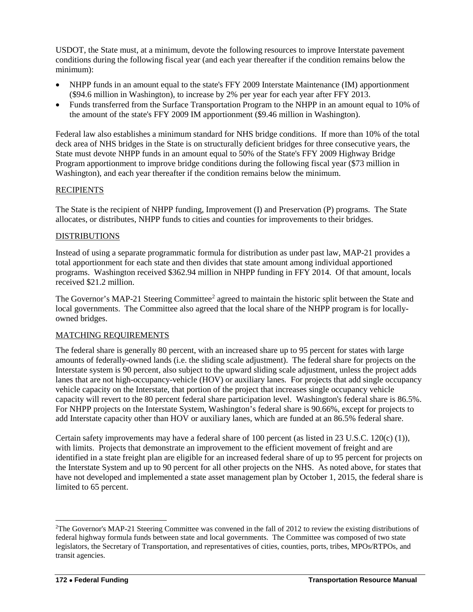USDOT, the State must, at a minimum, devote the following resources to improve Interstate pavement conditions during the following fiscal year (and each year thereafter if the condition remains below the minimum):

- NHPP funds in an amount equal to the state's FFY 2009 Interstate Maintenance (IM) apportionment (\$94.6 million in Washington), to increase by 2% per year for each year after FFY 2013.
- Funds transferred from the Surface Transportation Program to the NHPP in an amount equal to 10% of the amount of the state's FFY 2009 IM apportionment (\$9.46 million in Washington).

Federal law also establishes a minimum standard for NHS bridge conditions. If more than 10% of the total deck area of NHS bridges in the State is on structurally deficient bridges for three consecutive years, the State must devote NHPP funds in an amount equal to 50% of the State's FFY 2009 Highway Bridge Program apportionment to improve bridge conditions during the following fiscal year (\$73 million in Washington), and each year thereafter if the condition remains below the minimum.

# **RECIPIENTS**

The State is the recipient of NHPP funding, Improvement (I) and Preservation (P) programs. The State allocates, or distributes, NHPP funds to cities and counties for improvements to their bridges.

# DISTRIBUTIONS

Instead of using a separate programmatic formula for distribution as under past law, MAP-21 provides a total apportionment for each state and then divides that state amount among individual apportioned programs. Washington received \$362.94 million in NHPP funding in FFY 2014. Of that amount, locals received \$21.2 million.

The Governor's MAP-[2](#page-31-0)1 Steering Committee<sup>2</sup> agreed to maintain the historic split between the State and local governments. The Committee also agreed that the local share of the NHPP program is for locallyowned bridges.

# MATCHING REQUIREMENTS

The federal share is generally 80 percent, with an increased share up to 95 percent for states with large amounts of federally-owned lands (i.e. the sliding scale adjustment). The federal share for projects on the Interstate system is 90 percent, also subject to the upward sliding scale adjustment, unless the project adds lanes that are not high-occupancy-vehicle (HOV) or auxiliary lanes. For projects that add single occupancy vehicle capacity on the Interstate, that portion of the project that increases single occupancy vehicle capacity will revert to the 80 percent federal share participation level. Washington's federal share is 86.5%. For NHPP projects on the Interstate System, Washington's federal share is 90.66%, except for projects to add Interstate capacity other than HOV or auxiliary lanes, which are funded at an 86.5% federal share.

Certain safety improvements may have a federal share of 100 percent (as listed in 23 U.S.C. 120(c) (1)), with limits. Projects that demonstrate an improvement to the efficient movement of freight and are identified in a state freight plan are eligible for an increased federal share of up to 95 percent for projects on the Interstate System and up to 90 percent for all other projects on the NHS. As noted above, for states that have not developed and implemented a state asset management plan by October 1, 2015, the federal share is limited to 65 percent.

 $\overline{a}$ 

<span id="page-31-0"></span><sup>&</sup>lt;sup>2</sup>The Governor's MAP-21 Steering Committee was convened in the fall of 2012 to review the existing distributions of federal highway formula funds between state and local governments. The Committee was composed of two state legislators, the Secretary of Transportation, and representatives of cities, counties, ports, tribes, MPOs/RTPOs, and transit agencies.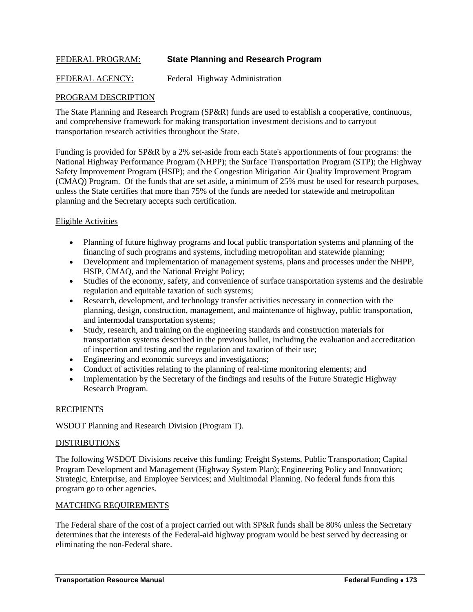# <span id="page-32-0"></span>FEDERAL PROGRAM: **State Planning and Research Program**

FEDERAL AGENCY: Federal Highway Administration

# PROGRAM DESCRIPTION

The State Planning and Research Program (SP&R) funds are used to establish a cooperative, continuous, and comprehensive framework for making transportation investment decisions and to carryout transportation research activities throughout the State.

Funding is provided for SP&R by a 2% set-aside from each State's apportionments of four programs: the National Highway Performance Program (NHPP); the Surface Transportation Program (STP); the Highway Safety Improvement Program (HSIP); and the Congestion Mitigation Air Quality Improvement Program (CMAQ) Program. Of the funds that are set aside, a minimum of 25% must be used for research purposes, unless the State certifies that more than 75% of the funds are needed for statewide and metropolitan planning and the Secretary accepts such certification.

# Eligible Activities

- Planning of future highway programs and local public transportation systems and planning of the financing of such programs and systems, including metropolitan and statewide planning;
- Development and implementation of management systems, plans and processes under the NHPP, HSIP, CMAQ, and the National Freight Policy;
- Studies of the economy, safety, and convenience of surface transportation systems and the desirable regulation and equitable taxation of such systems;
- Research, development, and technology transfer activities necessary in connection with the planning, design, construction, management, and maintenance of highway, public transportation, and intermodal transportation systems;
- Study, research, and training on the engineering standards and construction materials for transportation systems described in the previous bullet, including the evaluation and accreditation of inspection and testing and the regulation and taxation of their use;
- Engineering and economic surveys and investigations;
- Conduct of activities relating to the planning of real-time monitoring elements; and
- Implementation by the Secretary of the findings and results of the Future Strategic Highway Research Program.

# **RECIPIENTS**

WSDOT Planning and Research Division (Program T).

#### DISTRIBUTIONS

The following WSDOT Divisions receive this funding: Freight Systems, Public Transportation; Capital Program Development and Management (Highway System Plan); Engineering Policy and Innovation; Strategic, Enterprise, and Employee Services; and Multimodal Planning. No federal funds from this program go to other agencies.

# MATCHING REQUIREMENTS

The Federal share of the cost of a project carried out with SP&R funds shall be 80% unless the Secretary determines that the interests of the Federal-aid highway program would be best served by decreasing or eliminating the non-Federal share.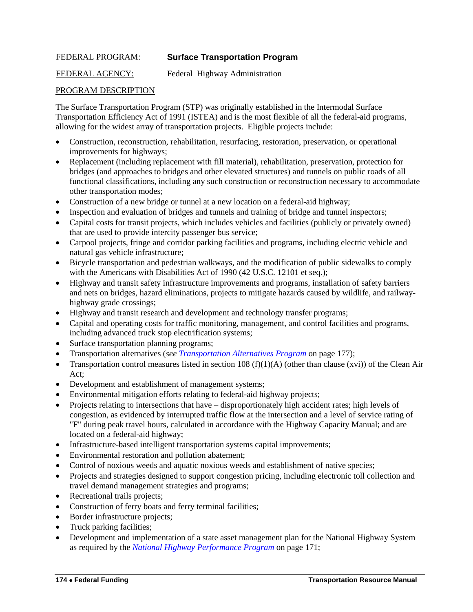# <span id="page-33-0"></span>FEDERAL PROGRAM: **Surface Transportation Program**

FEDERAL AGENCY: Federal Highway Administration

# PROGRAM DESCRIPTION

The Surface Transportation Program (STP) was originally established in the Intermodal Surface Transportation Efficiency Act of 1991 (ISTEA) and is the most flexible of all the federal-aid programs, allowing for the widest array of transportation projects. Eligible projects include:

- Construction, reconstruction, rehabilitation, resurfacing, restoration, preservation, or operational improvements for highways;
- Replacement (including replacement with fill material), rehabilitation, preservation, protection for bridges (and approaches to bridges and other elevated structures) and tunnels on public roads of all functional classifications, including any such construction or reconstruction necessary to accommodate other transportation modes;
- Construction of a new bridge or tunnel at a new location on a federal-aid highway;
- Inspection and evaluation of bridges and tunnels and training of bridge and tunnel inspectors;
- Capital costs for transit projects, which includes vehicles and facilities (publicly or privately owned) that are used to provide intercity passenger bus service;
- Carpool projects, fringe and corridor parking facilities and programs, including electric vehicle and natural gas vehicle infrastructure;
- Bicycle transportation and pedestrian walkways, and the modification of public sidewalks to comply with the Americans with Disabilities Act of 1990 (42 U.S.C. 12101 et seq.);
- Highway and transit safety infrastructure improvements and programs, installation of safety barriers and nets on bridges, hazard eliminations, projects to mitigate hazards caused by wildlife, and railwayhighway grade crossings;
- Highway and transit research and development and technology transfer programs;
- Capital and operating costs for traffic monitoring, management, and control facilities and programs, including advanced truck stop electrification systems;
- Surface transportation planning programs;
- Transportation alternatives (*see [Transportation Alternatives Program](#page-36-0)* on page 177);
- Transportation control measures listed in section 108  $(f)(1)(A)$  (other than clause (xvi)) of the Clean Air Act;
- Development and establishment of management systems;
- Environmental mitigation efforts relating to federal-aid highway projects;
- Projects relating to intersections that have disproportionately high accident rates; high levels of congestion, as evidenced by interrupted traffic flow at the intersection and a level of service rating of "F" during peak travel hours, calculated in accordance with the Highway Capacity Manual; and are located on a federal-aid highway;
- Infrastructure-based intelligent transportation systems capital improvements;
- Environmental restoration and pollution abatement;
- Control of noxious weeds and aquatic noxious weeds and establishment of native species;
- Projects and strategies designed to support congestion pricing, including electronic toll collection and travel demand management strategies and programs;
- Recreational trails projects;
- Construction of ferry boats and ferry terminal facilities;
- Border infrastructure projects;
- Truck parking facilities;
- Development and implementation of a state asset management plan for the National Highway System as required by the *[National Highway Performance Program](#page-30-0)* on page 171;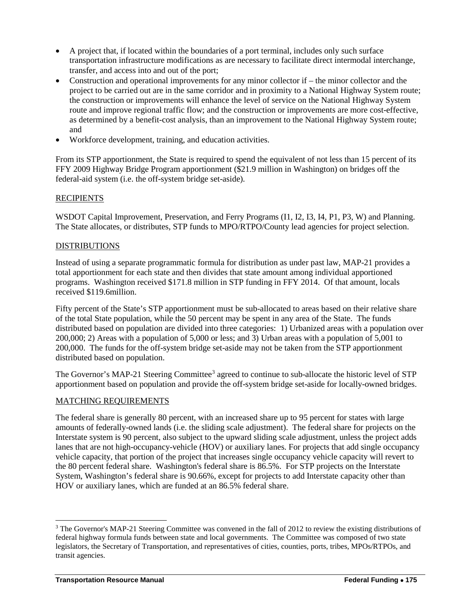- A project that, if located within the boundaries of a port terminal, includes only such surface transportation infrastructure modifications as are necessary to facilitate direct intermodal interchange, transfer, and access into and out of the port;
- Construction and operational improvements for any minor collector if the minor collector and the project to be carried out are in the same corridor and in proximity to a National Highway System route; the construction or improvements will enhance the level of service on the National Highway System route and improve regional traffic flow; and the construction or improvements are more cost-effective, as determined by a benefit-cost analysis, than an improvement to the National Highway System route; and
- Workforce development, training, and education activities.

From its STP apportionment, the State is required to spend the equivalent of not less than 15 percent of its FFY 2009 Highway Bridge Program apportionment (\$21.9 million in Washington) on bridges off the federal-aid system (i.e. the off-system bridge set-aside).

# **RECIPIENTS**

WSDOT Capital Improvement, Preservation, and Ferry Programs (I1, I2, I3, I4, P1, P3, W) and Planning. The State allocates, or distributes, STP funds to MPO/RTPO/County lead agencies for project selection.

# DISTRIBUTIONS

Instead of using a separate programmatic formula for distribution as under past law, MAP-21 provides a total apportionment for each state and then divides that state amount among individual apportioned programs. Washington received \$171.8 million in STP funding in FFY 2014. Of that amount, locals received \$119.6million.

Fifty percent of the State's STP apportionment must be sub-allocated to areas based on their relative share of the total State population, while the 50 percent may be spent in any area of the State. The funds distributed based on population are divided into three categories: 1) Urbanized areas with a population over 200,000; 2) Areas with a population of 5,000 or less; and 3) Urban areas with a population of 5,001 to 200,000. The funds for the off-system bridge set-aside may not be taken from the STP apportionment distributed based on population.

The Governor's MAP-21 Steering Committee<sup>[3](#page-34-0)</sup> agreed to continue to sub-allocate the historic level of STP apportionment based on population and provide the off-system bridge set-aside for locally-owned bridges.

# MATCHING REQUIREMENTS

The federal share is generally 80 percent, with an increased share up to 95 percent for states with large amounts of federally-owned lands (i.e. the sliding scale adjustment). The federal share for projects on the Interstate system is 90 percent, also subject to the upward sliding scale adjustment, unless the project adds lanes that are not high-occupancy-vehicle (HOV) or auxiliary lanes. For projects that add single occupancy vehicle capacity, that portion of the project that increases single occupancy vehicle capacity will revert to the 80 percent federal share. Washington's federal share is 86.5%. For STP projects on the Interstate System, Washington's federal share is 90.66%, except for projects to add Interstate capacity other than HOV or auxiliary lanes, which are funded at an 86.5% federal share.

 $\overline{a}$ 

<span id="page-34-0"></span><sup>&</sup>lt;sup>3</sup> The Governor's MAP-21 Steering Committee was convened in the fall of 2012 to review the existing distributions of federal highway formula funds between state and local governments. The Committee was composed of two state legislators, the Secretary of Transportation, and representatives of cities, counties, ports, tribes, MPOs/RTPOs, and transit agencies.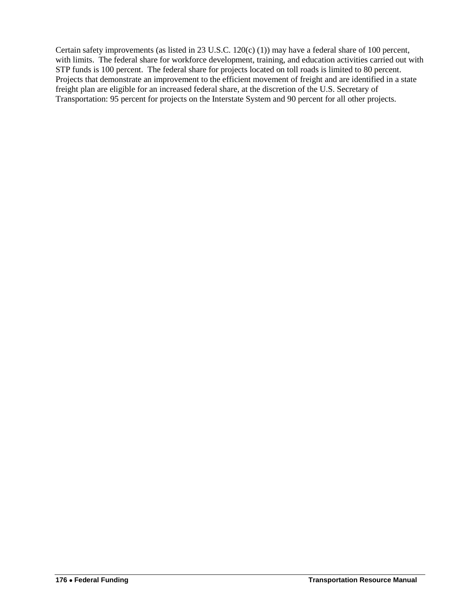Certain safety improvements (as listed in 23 U.S.C. 120(c) (1)) may have a federal share of 100 percent, with limits. The federal share for workforce development, training, and education activities carried out with STP funds is 100 percent. The federal share for projects located on toll roads is limited to 80 percent. Projects that demonstrate an improvement to the efficient movement of freight and are identified in a state freight plan are eligible for an increased federal share, at the discretion of the U.S. Secretary of Transportation: 95 percent for projects on the Interstate System and 90 percent for all other projects.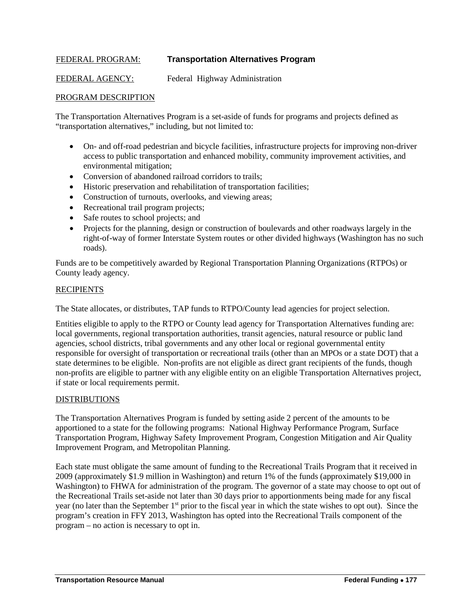### FEDERAL PROGRAM: **Transportation Alternatives Program**

FEDERAL AGENCY: Federal Highway Administration

#### PROGRAM DESCRIPTION

The Transportation Alternatives Program is a set-aside of funds for programs and projects defined as "transportation alternatives," including, but not limited to:

- On- and off-road pedestrian and bicycle facilities, infrastructure projects for improving non-driver access to public transportation and enhanced mobility, community improvement activities, and environmental mitigation;
- Conversion of abandoned railroad corridors to trails;
- Historic preservation and rehabilitation of transportation facilities;
- Construction of turnouts, overlooks, and viewing areas;
- Recreational trail program projects;
- Safe routes to school projects; and
- Projects for the planning, design or construction of boulevards and other roadways largely in the right-of-way of former Interstate System routes or other divided highways (Washington has no such roads).

Funds are to be competitively awarded by Regional Transportation Planning Organizations (RTPOs) or County leady agency.

#### RECIPIENTS

The State allocates, or distributes, TAP funds to RTPO/County lead agencies for project selection.

Entities eligible to apply to the RTPO or County lead agency for Transportation Alternatives funding are: local governments, regional transportation authorities, transit agencies, natural resource or public land agencies, school districts, tribal governments and any other local or regional governmental entity responsible for oversight of transportation or recreational trails (other than an MPOs or a state DOT) that a state determines to be eligible. Non-profits are not eligible as direct grant recipients of the funds, though non-profits are eligible to partner with any eligible entity on an eligible Transportation Alternatives project, if state or local requirements permit.

#### **DISTRIBUTIONS**

The Transportation Alternatives Program is funded by setting aside 2 percent of the amounts to be apportioned to a state for the following programs: National Highway Performance Program, Surface Transportation Program, Highway Safety Improvement Program, Congestion Mitigation and Air Quality Improvement Program, and Metropolitan Planning.

Each state must obligate the same amount of funding to the Recreational Trails Program that it received in 2009 (approximately \$1.9 million in Washington) and return 1% of the funds (approximately \$19,000 in Washington) to FHWA for administration of the program. The governor of a state may choose to opt out of the Recreational Trails set-aside not later than 30 days prior to apportionments being made for any fiscal year (no later than the September 1<sup>st</sup> prior to the fiscal year in which the state wishes to opt out). Since the program's creation in FFY 2013, Washington has opted into the Recreational Trails component of the program – no action is necessary to opt in.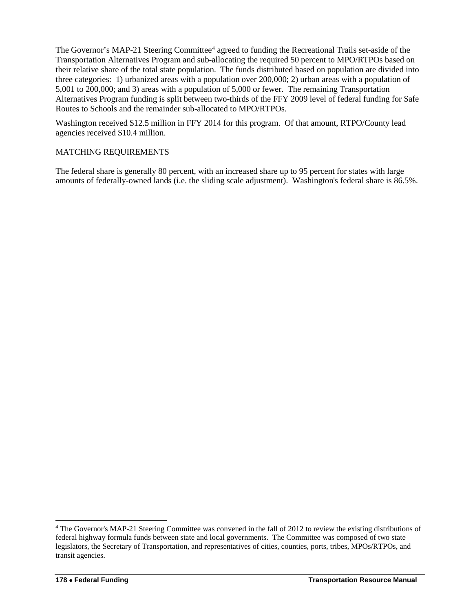The Governor's MAP-21 Steering Committee<sup>[4](#page-37-0)</sup> agreed to funding the Recreational Trails set-aside of the Transportation Alternatives Program and sub-allocating the required 50 percent to MPO/RTPOs based on their relative share of the total state population. The funds distributed based on population are divided into three categories: 1) urbanized areas with a population over 200,000; 2) urban areas with a population of 5,001 to 200,000; and 3) areas with a population of 5,000 or fewer. The remaining Transportation Alternatives Program funding is split between two-thirds of the FFY 2009 level of federal funding for Safe Routes to Schools and the remainder sub-allocated to MPO/RTPOs.

Washington received \$12.5 million in FFY 2014 for this program. Of that amount, RTPO/County lead agencies received \$10.4 million.

#### MATCHING REQUIREMENTS

The federal share is generally 80 percent, with an increased share up to 95 percent for states with large amounts of federally-owned lands (i.e. the sliding scale adjustment). Washington's federal share is 86.5%.

 $\overline{a}$ 

<span id="page-37-0"></span><sup>4</sup> The Governor's MAP-21 Steering Committee was convened in the fall of 2012 to review the existing distributions of federal highway formula funds between state and local governments. The Committee was composed of two state legislators, the Secretary of Transportation, and representatives of cities, counties, ports, tribes, MPOs/RTPOs, and transit agencies.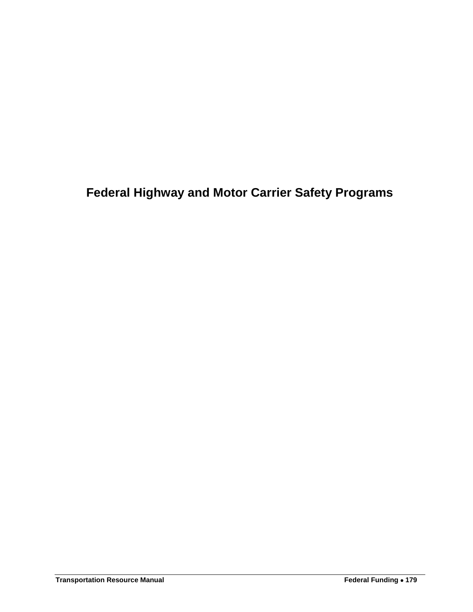# **Federal Highway and Motor Carrier Safety Programs**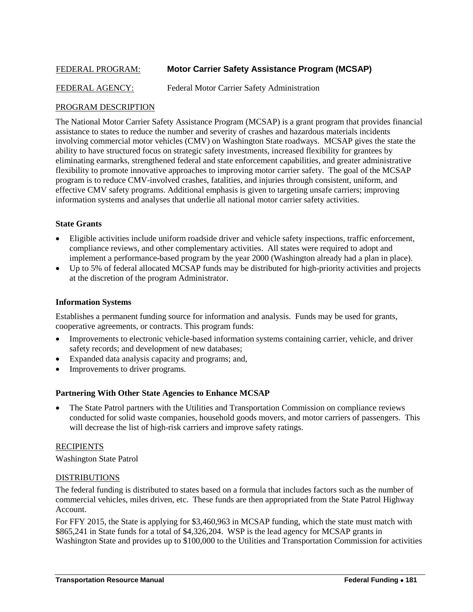### FEDERAL PROGRAM: **Motor Carrier Safety Assistance Program (MCSAP)**

#### FEDERAL AGENCY: Federal Motor Carrier Safety Administration

#### PROGRAM DESCRIPTION

The National Motor Carrier Safety Assistance Program (MCSAP) is a grant program that provides financial assistance to states to reduce the number and severity of crashes and hazardous materials incidents involving commercial motor vehicles (CMV) on Washington State roadways. MCSAP gives the state the ability to have structured focus on strategic safety investments, increased flexibility for grantees by eliminating earmarks, strengthened federal and state enforcement capabilities, and greater administrative flexibility to promote innovative approaches to improving motor carrier safety. The goal of the MCSAP program is to reduce CMV-involved crashes, fatalities, and injuries through consistent, uniform, and effective CMV safety programs. Additional emphasis is given to targeting unsafe carriers; improving information systems and analyses that underlie all national motor carrier safety activities.

#### **State Grants**

- Eligible activities include uniform roadside driver and vehicle safety inspections, traffic enforcement, compliance reviews, and other complementary activities. All states were required to adopt and implement a performance-based program by the year 2000 (Washington already had a plan in place).
- Up to 5% of federal allocated MCSAP funds may be distributed for high-priority activities and projects at the discretion of the program Administrator.

#### **Information Systems**

Establishes a permanent funding source for information and analysis. Funds may be used for grants, cooperative agreements, or contracts. This program funds:

- Improvements to electronic vehicle-based information systems containing carrier, vehicle, and driver safety records; and development of new databases;
- Expanded data analysis capacity and programs; and,
- Improvements to driver programs.

#### **Partnering With Other State Agencies to Enhance MCSAP**

• The State Patrol partners with the Utilities and Transportation Commission on compliance reviews conducted for solid waste companies, household goods movers, and motor carriers of passengers. This will decrease the list of high-risk carriers and improve safety ratings.

#### RECIPIENTS

Washington State Patrol

#### DISTRIBUTIONS

The federal funding is distributed to states based on a formula that includes factors such as the number of commercial vehicles, miles driven, etc. These funds are then appropriated from the State Patrol Highway Account.

For FFY 2015, the State is applying for \$3,460,963 in MCSAP funding, which the state must match with \$865,241 in State funds for a total of \$4,326,204. WSP is the lead agency for MCSAP grants in Washington State and provides up to \$100,000 to the Utilities and Transportation Commission for activities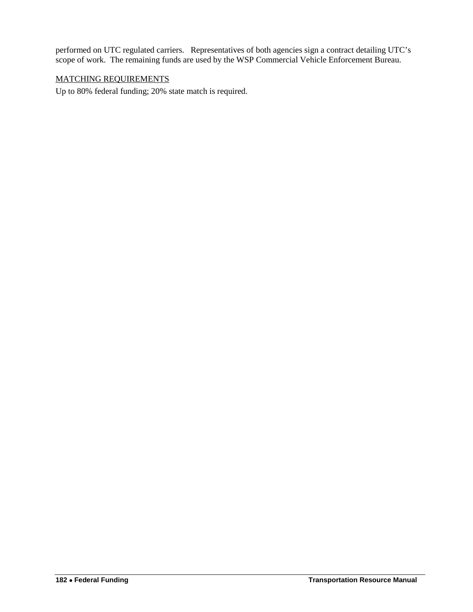performed on UTC regulated carriers. Representatives of both agencies sign a contract detailing UTC's scope of work. The remaining funds are used by the WSP Commercial Vehicle Enforcement Bureau.

### MATCHING REQUIREMENTS

Up to 80% federal funding; 20% state match is required.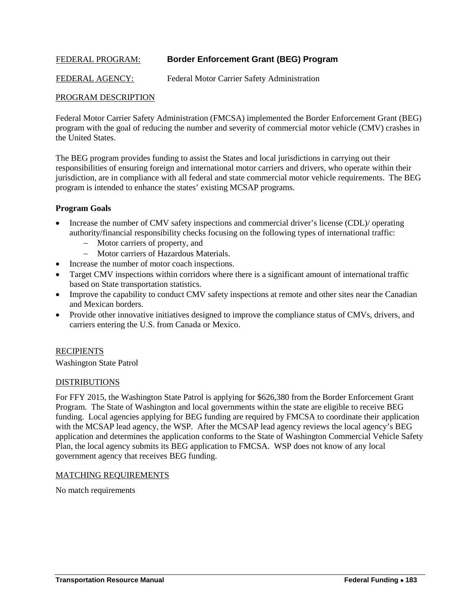### FEDERAL PROGRAM: **Border Enforcement Grant (BEG) Program**

FEDERAL AGENCY: Federal Motor Carrier Safety Administration

### PROGRAM DESCRIPTION

Federal Motor Carrier Safety Administration (FMCSA) implemented the Border Enforcement Grant (BEG) program with the goal of reducing the number and severity of commercial motor vehicle (CMV) crashes in the United States.

The BEG program provides funding to assist the States and local jurisdictions in carrying out their responsibilities of ensuring foreign and international motor carriers and drivers, who operate within their jurisdiction, are in compliance with all federal and state commercial motor vehicle requirements. The BEG program is intended to enhance the states' existing MCSAP programs.

#### **Program Goals**

- Increase the number of CMV safety inspections and commercial driver's license (CDL)/ operating authority/financial responsibility checks focusing on the following types of international traffic:
	- − Motor carriers of property, and
	- − Motor carriers of Hazardous Materials.
	- Increase the number of motor coach inspections.
- Target CMV inspections within corridors where there is a significant amount of international traffic based on State transportation statistics.
- Improve the capability to conduct CMV safety inspections at remote and other sites near the Canadian and Mexican borders.
- Provide other innovative initiatives designed to improve the compliance status of CMVs, drivers, and carriers entering the U.S. from Canada or Mexico.

#### **RECIPIENTS**

Washington State Patrol

#### **DISTRIBUTIONS**

For FFY 2015, the Washington State Patrol is applying for \$626,380 from the Border Enforcement Grant Program. The State of Washington and local governments within the state are eligible to receive BEG funding. Local agencies applying for BEG funding are required by FMCSA to coordinate their application with the MCSAP lead agency, the WSP. After the MCSAP lead agency reviews the local agency's BEG application and determines the application conforms to the State of Washington Commercial Vehicle Safety Plan, the local agency submits its BEG application to FMCSA. WSP does not know of any local government agency that receives BEG funding.

#### MATCHING REQUIREMENTS

No match requirements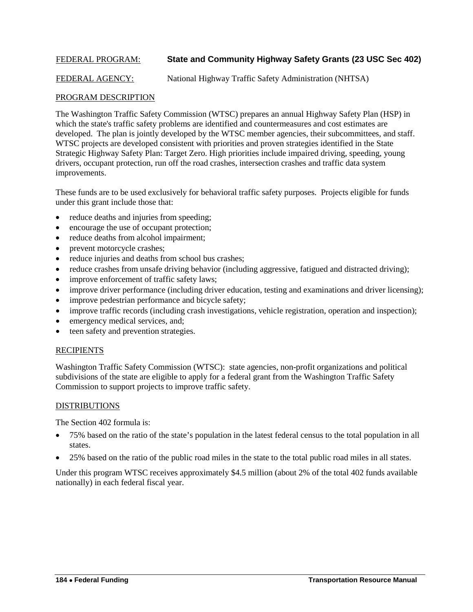### FEDERAL PROGRAM: **State and Community Highway Safety Grants (23 USC Sec 402)**

FEDERAL AGENCY: National Highway Traffic Safety Administration (NHTSA)

#### PROGRAM DESCRIPTION

The Washington Traffic Safety Commission (WTSC) prepares an annual Highway Safety Plan (HSP) in which the state's traffic safety problems are identified and countermeasures and cost estimates are developed. The plan is jointly developed by the WTSC member agencies, their subcommittees, and staff. WTSC projects are developed consistent with priorities and proven strategies identified in the State Strategic Highway Safety Plan: Target Zero. High priorities include impaired driving, speeding, young drivers, occupant protection, run off the road crashes, intersection crashes and traffic data system improvements.

These funds are to be used exclusively for behavioral traffic safety purposes. Projects eligible for funds under this grant include those that:

- reduce deaths and injuries from speeding;
- encourage the use of occupant protection;
- reduce deaths from alcohol impairment;
- prevent motorcycle crashes;
- reduce injuries and deaths from school bus crashes;
- reduce crashes from unsafe driving behavior (including aggressive, fatigued and distracted driving);
- improve enforcement of traffic safety laws;
- improve driver performance (including driver education, testing and examinations and driver licensing);
- improve pedestrian performance and bicycle safety;
- improve traffic records (including crash investigations, vehicle registration, operation and inspection);
- emergency medical services, and;
- teen safety and prevention strategies.

#### RECIPIENTS

Washington Traffic Safety Commission (WTSC): state agencies, non-profit organizations and political subdivisions of the state are eligible to apply for a federal grant from the Washington Traffic Safety Commission to support projects to improve traffic safety.

#### DISTRIBUTIONS

The Section 402 formula is:

- 75% based on the ratio of the state's population in the latest federal census to the total population in all states.
- 25% based on the ratio of the public road miles in the state to the total public road miles in all states.

Under this program WTSC receives approximately \$4.5 million (about 2% of the total 402 funds available nationally) in each federal fiscal year.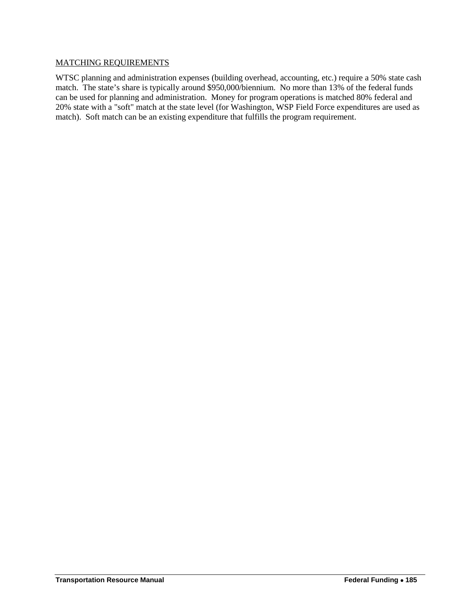#### MATCHING REQUIREMENTS

WTSC planning and administration expenses (building overhead, accounting, etc.) require a 50% state cash match. The state's share is typically around \$950,000/biennium. No more than 13% of the federal funds can be used for planning and administration. Money for program operations is matched 80% federal and 20% state with a "soft" match at the state level (for Washington, WSP Field Force expenditures are used as match). Soft match can be an existing expenditure that fulfills the program requirement.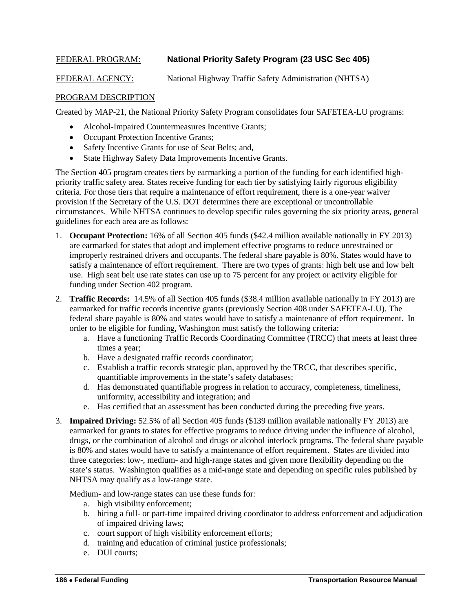### FEDERAL PROGRAM: **National Priority Safety Program (23 USC Sec 405)**

FEDERAL AGENCY: National Highway Traffic Safety Administration (NHTSA)

### PROGRAM DESCRIPTION

Created by MAP-21, the National Priority Safety Program consolidates four SAFETEA-LU programs:

- Alcohol-Impaired Countermeasures Incentive Grants;
- Occupant Protection Incentive Grants;
- Safety Incentive Grants for use of Seat Belts; and,
- State Highway Safety Data Improvements Incentive Grants.

The Section 405 program creates tiers by earmarking a portion of the funding for each identified highpriority traffic safety area. States receive funding for each tier by satisfying fairly rigorous eligibility criteria. For those tiers that require a maintenance of effort requirement, there is a one-year waiver provision if the Secretary of the U.S. DOT determines there are exceptional or uncontrollable circumstances. While NHTSA continues to develop specific rules governing the six priority areas, general guidelines for each area are as follows:

- 1. **Occupant Protection:** 16% of all Section 405 funds (\$42.4 million available nationally in FY 2013) are earmarked for states that adopt and implement effective programs to reduce unrestrained or improperly restrained drivers and occupants. The federal share payable is 80%. States would have to satisfy a maintenance of effort requirement. There are two types of grants: high belt use and low belt use. High seat belt use rate states can use up to 75 percent for any project or activity eligible for funding under Section 402 program.
- 2. **Traffic Records:** 14.5% of all Section 405 funds (\$38.4 million available nationally in FY 2013) are earmarked for traffic records incentive grants (previously Section 408 under SAFETEA-LU). The federal share payable is 80% and states would have to satisfy a maintenance of effort requirement. In order to be eligible for funding, Washington must satisfy the following criteria:
	- a. Have a functioning Traffic Records Coordinating Committee (TRCC) that meets at least three times a year;
	- b. Have a designated traffic records coordinator;
	- c. Establish a traffic records strategic plan, approved by the TRCC, that describes specific, quantifiable improvements in the state's safety databases;
	- d. Has demonstrated quantifiable progress in relation to accuracy, completeness, timeliness, uniformity, accessibility and integration; and
	- e. Has certified that an assessment has been conducted during the preceding five years.
- 3. **Impaired Driving:** 52.5% of all Section 405 funds (\$139 million available nationally FY 2013) are earmarked for grants to states for effective programs to reduce driving under the influence of alcohol, drugs, or the combination of alcohol and drugs or alcohol interlock programs. The federal share payable is 80% and states would have to satisfy a maintenance of effort requirement. States are divided into three categories: low-, medium- and high-range states and given more flexibility depending on the state's status. Washington qualifies as a mid-range state and depending on specific rules published by NHTSA may qualify as a low-range state.

Medium- and low-range states can use these funds for:

- a. high visibility enforcement;
- b. hiring a full- or part-time impaired driving coordinator to address enforcement and adjudication of impaired driving laws;
- c. court support of high visibility enforcement efforts;
- d. training and education of criminal justice professionals;
- e. DUI courts;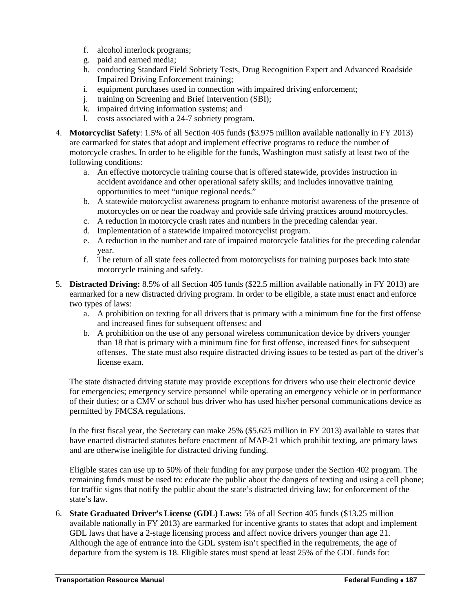- f. alcohol interlock programs;
- g. paid and earned media;
- h. conducting Standard Field Sobriety Tests, Drug Recognition Expert and Advanced Roadside Impaired Driving Enforcement training;
- i. equipment purchases used in connection with impaired driving enforcement;
- j. training on Screening and Brief Intervention (SBI);
- k. impaired driving information systems; and
- l. costs associated with a 24-7 sobriety program.
- 4. **Motorcyclist Safety**: 1.5% of all Section 405 funds (\$3.975 million available nationally in FY 2013) are earmarked for states that adopt and implement effective programs to reduce the number of motorcycle crashes. In order to be eligible for the funds, Washington must satisfy at least two of the following conditions:
	- a. An effective motorcycle training course that is offered statewide, provides instruction in accident avoidance and other operational safety skills; and includes innovative training opportunities to meet "unique regional needs."
	- b. A statewide motorcyclist awareness program to enhance motorist awareness of the presence of motorcycles on or near the roadway and provide safe driving practices around motorcycles.
	- c. A reduction in motorcycle crash rates and numbers in the preceding calendar year.
	- d. Implementation of a statewide impaired motorcyclist program.
	- e. A reduction in the number and rate of impaired motorcycle fatalities for the preceding calendar year.
	- f. The return of all state fees collected from motorcyclists for training purposes back into state motorcycle training and safety.
- 5. **Distracted Driving:** 8.5% of all Section 405 funds (\$22.5 million available nationally in FY 2013) are earmarked for a new distracted driving program. In order to be eligible, a state must enact and enforce two types of laws:
	- a. A prohibition on texting for all drivers that is primary with a minimum fine for the first offense and increased fines for subsequent offenses; and
	- b. A prohibition on the use of any personal wireless communication device by drivers younger than 18 that is primary with a minimum fine for first offense, increased fines for subsequent offenses. The state must also require distracted driving issues to be tested as part of the driver's license exam.

The state distracted driving statute may provide exceptions for drivers who use their electronic device for emergencies; emergency service personnel while operating an emergency vehicle or in performance of their duties; or a CMV or school bus driver who has used his/her personal communications device as permitted by FMCSA regulations.

In the first fiscal year, the Secretary can make 25% (\$5.625 million in FY 2013) available to states that have enacted distracted statutes before enactment of MAP-21 which prohibit texting, are primary laws and are otherwise ineligible for distracted driving funding.

Eligible states can use up to 50% of their funding for any purpose under the Section 402 program. The remaining funds must be used to: educate the public about the dangers of texting and using a cell phone; for traffic signs that notify the public about the state's distracted driving law; for enforcement of the state's law.

6. **State Graduated Driver's License (GDL) Laws:** 5% of all Section 405 funds (\$13.25 million available nationally in FY 2013) are earmarked for incentive grants to states that adopt and implement GDL laws that have a 2-stage licensing process and affect novice drivers younger than age 21. Although the age of entrance into the GDL system isn't specified in the requirements, the age of departure from the system is 18. Eligible states must spend at least 25% of the GDL funds for: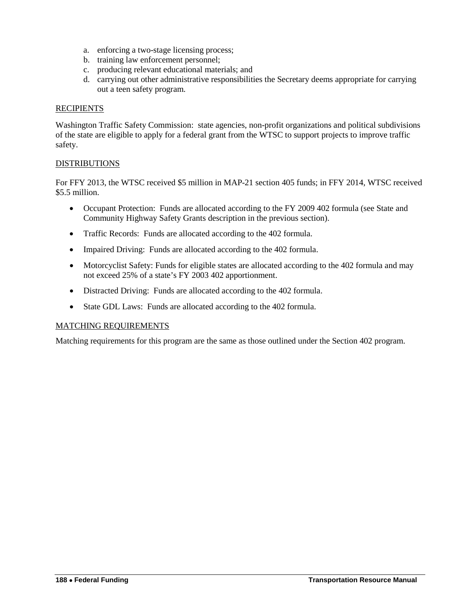- a. enforcing a two-stage licensing process;
- b. training law enforcement personnel;
- c. producing relevant educational materials; and
- d. carrying out other administrative responsibilities the Secretary deems appropriate for carrying out a teen safety program.

#### **RECIPIENTS**

Washington Traffic Safety Commission: state agencies, non-profit organizations and political subdivisions of the state are eligible to apply for a federal grant from the WTSC to support projects to improve traffic safety.

### DISTRIBUTIONS

For FFY 2013, the WTSC received \$5 million in MAP-21 section 405 funds; in FFY 2014, WTSC received \$5.5 million.

- Occupant Protection: Funds are allocated according to the FY 2009 402 formula (see State and Community Highway Safety Grants description in the previous section).
- Traffic Records: Funds are allocated according to the 402 formula.
- Impaired Driving: Funds are allocated according to the 402 formula.
- Motorcyclist Safety: Funds for eligible states are allocated according to the 402 formula and may not exceed 25% of a state's FY 2003 402 apportionment.
- Distracted Driving: Funds are allocated according to the 402 formula.
- State GDL Laws: Funds are allocated according to the 402 formula.

#### MATCHING REQUIREMENTS

Matching requirements for this program are the same as those outlined under the Section 402 program.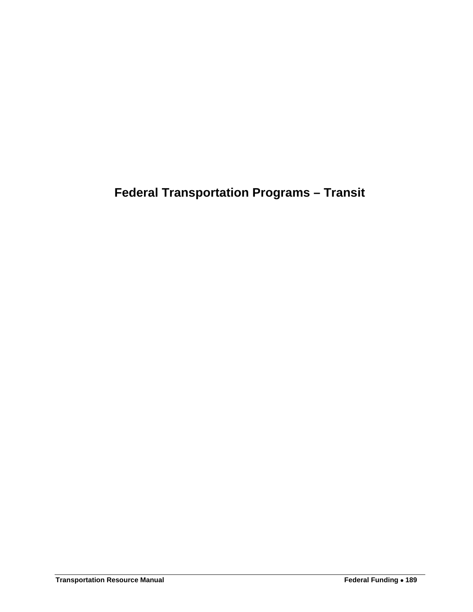**Federal Transportation Programs – Transit**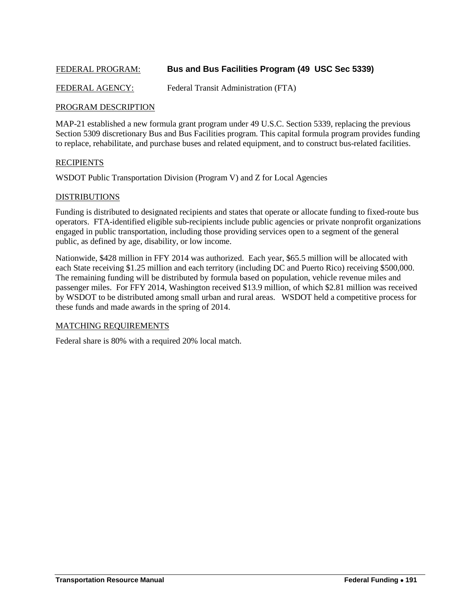### FEDERAL PROGRAM: **Bus and Bus Facilities Program (49 USC Sec 5339)**

FEDERAL AGENCY: Federal Transit Administration (FTA)

#### PROGRAM DESCRIPTION

MAP-21 established a new formula grant program under 49 U.S.C. Section 5339, replacing the previous Section 5309 discretionary Bus and Bus Facilities program. This capital formula program provides funding to replace, rehabilitate, and purchase buses and related equipment, and to construct bus-related facilities.

#### **RECIPIENTS**

WSDOT Public Transportation Division (Program V) and Z for Local Agencies

#### **DISTRIBUTIONS**

Funding is distributed to designated recipients and states that operate or allocate funding to fixed-route bus operators. FTA-identified eligible sub-recipients include public agencies or private nonprofit organizations engaged in public transportation, including those providing services open to a segment of the general public, as defined by age, disability, or low income.

Nationwide, \$428 million in FFY 2014 was authorized. Each year, \$65.5 million will be allocated with each State receiving \$1.25 million and each territory (including DC and Puerto Rico) receiving \$500,000. The remaining funding will be distributed by formula based on population, vehicle revenue miles and passenger miles. For FFY 2014, Washington received \$13.9 million, of which \$2.81 million was received by WSDOT to be distributed among small urban and rural areas. WSDOT held a competitive process for these funds and made awards in the spring of 2014.

#### MATCHING REQUIREMENTS

Federal share is 80% with a required 20% local match.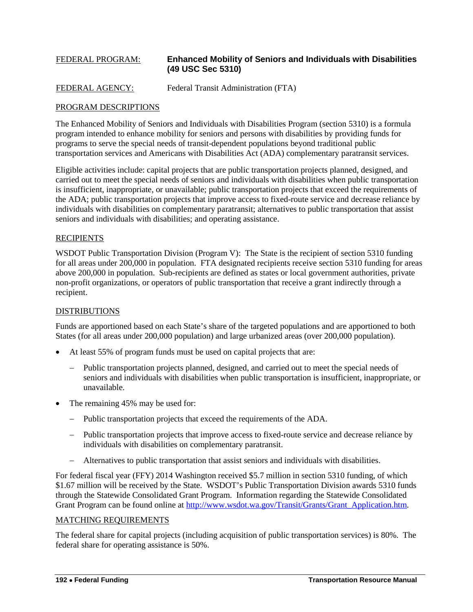# FEDERAL PROGRAM: **Enhanced Mobility of Seniors and Individuals with Disabilities (49 USC Sec 5310)**

```
FEDERAL AGENCY: Federal Transit Administration (FTA)
```
### PROGRAM DESCRIPTIONS

The Enhanced Mobility of Seniors and Individuals with Disabilities Program (section 5310) is a formula program intended to enhance mobility for seniors and persons with disabilities by providing funds for programs to serve the special needs of transit-dependent populations beyond traditional public transportation services and Americans with Disabilities Act (ADA) complementary paratransit services.

Eligible activities include: capital projects that are public transportation projects planned, designed, and carried out to meet the special needs of seniors and individuals with disabilities when public transportation is insufficient, inappropriate, or unavailable; public transportation projects that exceed the requirements of the ADA; public transportation projects that improve access to fixed-route service and decrease reliance by individuals with disabilities on complementary paratransit; alternatives to public transportation that assist seniors and individuals with disabilities; and operating assistance.

### **RECIPIENTS**

WSDOT Public Transportation Division (Program V): The State is the recipient of section 5310 funding for all areas under 200,000 in population. FTA designated recipients receive section 5310 funding for areas above 200,000 in population. Sub-recipients are defined as states or local government authorities, private non-profit organizations, or operators of public transportation that receive a grant indirectly through a recipient.

### DISTRIBUTIONS

Funds are apportioned based on each State's share of the targeted populations and are apportioned to both States (for all areas under 200,000 population) and large urbanized areas (over 200,000 population).

- At least 55% of program funds must be used on capital projects that are:
	- − Public transportation projects planned, designed, and carried out to meet the special needs of seniors and individuals with disabilities when public transportation is insufficient, inappropriate, or unavailable.
- The remaining 45% may be used for:
	- − Public transportation projects that exceed the requirements of the ADA.
	- − Public transportation projects that improve access to fixed-route service and decrease reliance by individuals with disabilities on complementary paratransit.
	- − Alternatives to public transportation that assist seniors and individuals with disabilities.

For federal fiscal year (FFY) 2014 Washington received \$5.7 million in section 5310 funding, of which \$1.67 million will be received by the State. WSDOT's Public Transportation Division awards 5310 funds through the Statewide Consolidated Grant Program. Information regarding the Statewide Consolidated Grant Program can be found online at http://www.wsdot.wa.gov/Transit/Grants/Grant Application.htm.

#### MATCHING REQUIREMENTS

The federal share for capital projects (including acquisition of public transportation services) is 80%. The federal share for operating assistance is 50%.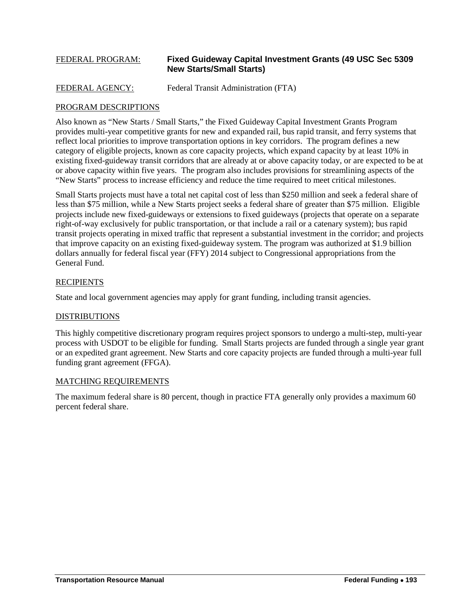#### FEDERAL PROGRAM: **Fixed Guideway Capital Investment Grants (49 USC Sec 5309 New Starts/Small Starts)**

```
FEDERAL AGENCY: Federal Transit Administration (FTA)
```
### PROGRAM DESCRIPTIONS

Also known as "New Starts / Small Starts," the Fixed Guideway Capital Investment Grants Program provides multi-year competitive grants for new and expanded rail, bus rapid transit, and ferry systems that reflect local priorities to improve transportation options in key corridors. The program defines a new category of eligible projects, known as core capacity projects, which expand capacity by at least 10% in existing fixed-guideway transit corridors that are already at or above capacity today, or are expected to be at or above capacity within five years. The program also includes provisions for streamlining aspects of the "New Starts" process to increase efficiency and reduce the time required to meet critical milestones.

Small Starts projects must have a total net capital cost of less than \$250 million and seek a federal share of less than \$75 million, while a New Starts project seeks a federal share of greater than \$75 million. Eligible projects include new fixed-guideways or extensions to fixed guideways (projects that operate on a separate right-of-way exclusively for public transportation, or that include a rail or a catenary system); bus rapid transit projects operating in mixed traffic that represent a substantial investment in the corridor; and projects that improve capacity on an existing fixed-guideway system. The program was authorized at \$1.9 billion dollars annually for federal fiscal year (FFY) 2014 subject to Congressional appropriations from the General Fund.

#### RECIPIENTS

State and local government agencies may apply for grant funding, including transit agencies.

### DISTRIBUTIONS

This highly competitive discretionary program requires project sponsors to undergo a multi-step, multi-year process with USDOT to be eligible for funding. Small Starts projects are funded through a single year grant or an expedited grant agreement. New Starts and core capacity projects are funded through a multi-year full funding grant agreement (FFGA).

#### MATCHING REQUIREMENTS

The maximum federal share is 80 percent, though in practice FTA generally only provides a maximum 60 percent federal share.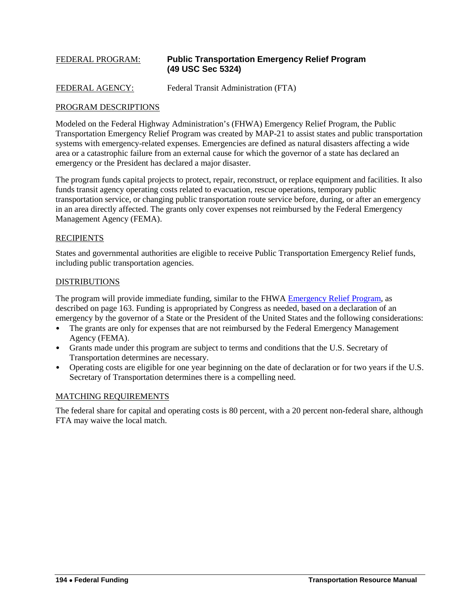# FEDERAL PROGRAM: **Public Transportation Emergency Relief Program (49 USC Sec 5324)**

### FEDERAL AGENCY: Federal Transit Administration (FTA)

#### PROGRAM DESCRIPTIONS

Modeled on the Federal Highway Administration's (FHWA) Emergency Relief Program, the Public Transportation Emergency Relief Program was created by MAP-21 to assist states and public transportation systems with emergency-related expenses. Emergencies are defined as natural disasters affecting a wide area or a catastrophic failure from an external cause for which the governor of a state has declared an emergency or the President has declared a major disaster.

The program funds capital projects to protect, repair, reconstruct, or replace equipment and facilities. It also funds transit agency operating costs related to evacuation, rescue operations, temporary public transportation service, or changing public transportation route service before, during, or after an emergency in an area directly affected. The grants only cover expenses not reimbursed by the Federal Emergency Management Agency (FEMA).

### **RECIPIENTS**

States and governmental authorities are eligible to receive Public Transportation Emergency Relief funds, including public transportation agencies.

#### DISTRIBUTIONS

The program will provide immediate funding, similar to the FHWA [Emergency Relief Program,](#page-22-0) as described on page 163. Funding is appropriated by Congress as needed, based on a declaration of an emergency by the governor of a State or the President of the United States and the following considerations:

- The grants are only for expenses that are not reimbursed by the Federal Emergency Management Agency (FEMA).
- Grants made under this program are subject to terms and conditions that the U.S. Secretary of Transportation determines are necessary.
- Operating costs are eligible for one year beginning on the date of declaration or for two years if the U.S. Secretary of Transportation determines there is a compelling need.

#### MATCHING REQUIREMENTS

The federal share for capital and operating costs is 80 percent, with a 20 percent non-federal share, although FTA may waive the local match.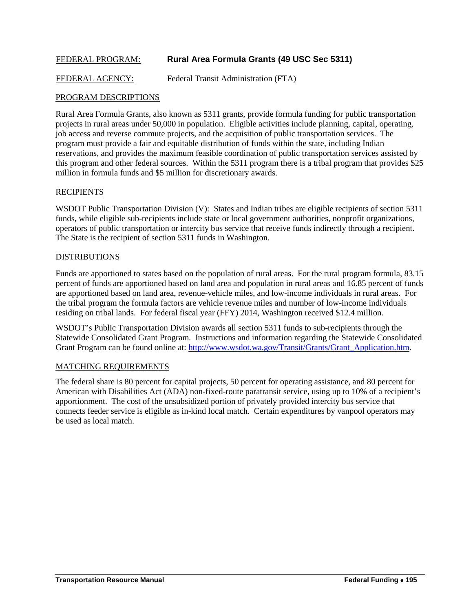### FEDERAL PROGRAM: **Rural Area Formula Grants (49 USC Sec 5311)**

FEDERAL AGENCY: Federal Transit Administration (FTA)

#### PROGRAM DESCRIPTIONS

Rural Area Formula Grants, also known as 5311 grants, provide formula funding for public transportation projects in rural areas under 50,000 in population. Eligible activities include planning, capital, operating, job access and reverse commute projects, and the acquisition of public transportation services. The program must provide a fair and equitable distribution of funds within the state, including Indian reservations, and provides the maximum feasible coordination of public transportation services assisted by this program and other federal sources. Within the 5311 program there is a tribal program that provides \$25 million in formula funds and \$5 million for discretionary awards.

#### **RECIPIENTS**

WSDOT Public Transportation Division (V): States and Indian tribes are eligible recipients of section 5311 funds, while eligible sub-recipients include state or local government authorities, nonprofit organizations, operators of public transportation or intercity bus service that receive funds indirectly through a recipient. The State is the recipient of section 5311 funds in Washington.

#### **DISTRIBUTIONS**

Funds are apportioned to states based on the population of rural areas. For the rural program formula, 83.15 percent of funds are apportioned based on land area and population in rural areas and 16.85 percent of funds are apportioned based on land area, revenue-vehicle miles, and low-income individuals in rural areas. For the tribal program the formula factors are vehicle revenue miles and number of low-income individuals residing on tribal lands. For federal fiscal year (FFY) 2014, Washington received \$12.4 million.

WSDOT's Public Transportation Division awards all section 5311 funds to sub-recipients through the Statewide Consolidated Grant Program. Instructions and information regarding the Statewide Consolidated Grant Program can be found online at: [http://www.wsdot.wa.gov/Transit/Grants/Grant\\_Application.htm.](http://www.wsdot.wa.gov/Transit/Grants/Grant_Application.htm)

#### MATCHING REQUIREMENTS

The federal share is 80 percent for capital projects, 50 percent for operating assistance, and 80 percent for American with Disabilities Act (ADA) non-fixed-route paratransit service, using up to 10% of a recipient's apportionment. The cost of the unsubsidized portion of privately provided intercity bus service that connects feeder service is eligible as in-kind local match. Certain expenditures by vanpool operators may be used as local match.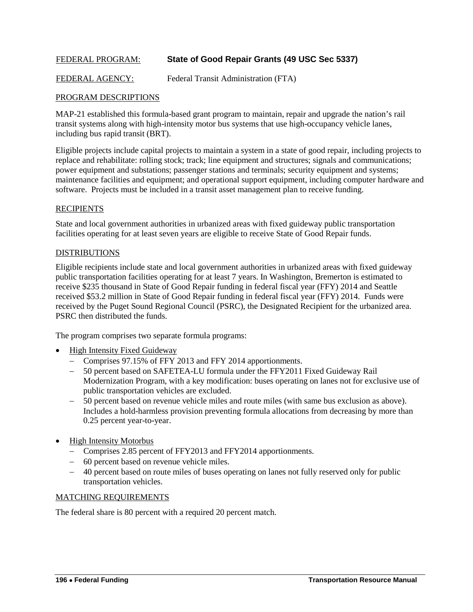### FEDERAL PROGRAM: **State of Good Repair Grants (49 USC Sec 5337)**

FEDERAL AGENCY: Federal Transit Administration (FTA)

### PROGRAM DESCRIPTIONS

MAP-21 established this formula-based grant program to maintain, repair and upgrade the nation's rail transit systems along with high-intensity motor bus systems that use high-occupancy vehicle lanes, including bus rapid transit (BRT).

Eligible projects include capital projects to maintain a system in a state of good repair, including projects to replace and rehabilitate: rolling stock; track; line equipment and structures; signals and communications; power equipment and substations; passenger stations and terminals; security equipment and systems; maintenance facilities and equipment; and operational support equipment, including computer hardware and software. Projects must be included in a transit asset management plan to receive funding.

#### **RECIPIENTS**

State and local government authorities in urbanized areas with fixed guideway public transportation facilities operating for at least seven years are eligible to receive State of Good Repair funds.

#### DISTRIBUTIONS

Eligible recipients include state and local government authorities in urbanized areas with fixed guideway public transportation facilities operating for at least 7 years. In Washington, Bremerton is estimated to receive \$235 thousand in State of Good Repair funding in federal fiscal year (FFY) 2014 and Seattle received \$53.2 million in State of Good Repair funding in federal fiscal year (FFY) 2014. Funds were received by the Puget Sound Regional Council (PSRC), the Designated Recipient for the urbanized area. PSRC then distributed the funds.

The program comprises two separate formula programs:

- High Intensity Fixed Guideway
	- − Comprises 97.15% of FFY 2013 and FFY 2014 apportionments.
	- − 50 percent based on SAFETEA-LU formula under the FFY2011 Fixed Guideway Rail Modernization Program, with a key modification: buses operating on lanes not for exclusive use of public transportation vehicles are excluded.
	- − 50 percent based on revenue vehicle miles and route miles (with same bus exclusion as above). Includes a hold-harmless provision preventing formula allocations from decreasing by more than 0.25 percent year-to-year.
- High Intensity Motorbus
	- − Comprises 2.85 percent of FFY2013 and FFY2014 apportionments.
	- − 60 percent based on revenue vehicle miles.
	- − 40 percent based on route miles of buses operating on lanes not fully reserved only for public transportation vehicles.

### MATCHING REQUIREMENTS

The federal share is 80 percent with a required 20 percent match.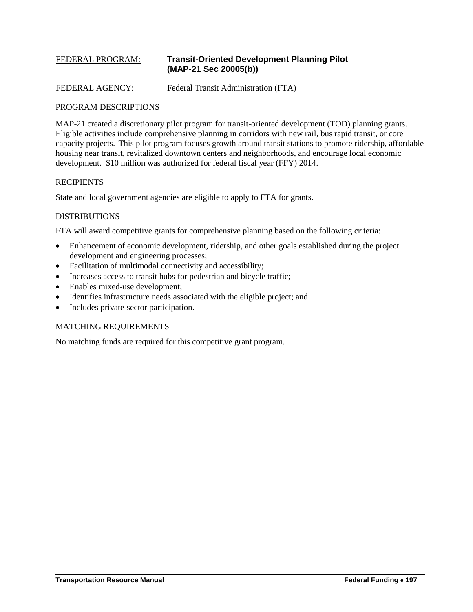# FEDERAL PROGRAM: **Transit-Oriented Development Planning Pilot (MAP-21 Sec 20005(b))**

FEDERAL AGENCY: Federal Transit Administration (FTA)

#### PROGRAM DESCRIPTIONS

MAP-21 created a discretionary pilot program for transit-oriented development (TOD) planning grants. Eligible activities include comprehensive planning in corridors with new rail, bus rapid transit, or core capacity projects. This pilot program focuses growth around transit stations to promote ridership, affordable housing near transit, revitalized downtown centers and neighborhoods, and encourage local economic development. \$10 million was authorized for federal fiscal year (FFY) 2014.

#### **RECIPIENTS**

State and local government agencies are eligible to apply to FTA for grants.

### DISTRIBUTIONS

FTA will award competitive grants for comprehensive planning based on the following criteria:

- Enhancement of economic development, ridership, and other goals established during the project development and engineering processes;
- Facilitation of multimodal connectivity and accessibility;
- Increases access to transit hubs for pedestrian and bicycle traffic;
- Enables mixed-use development;
- Identifies infrastructure needs associated with the eligible project; and
- Includes private-sector participation.

### MATCHING REQUIREMENTS

No matching funds are required for this competitive grant program.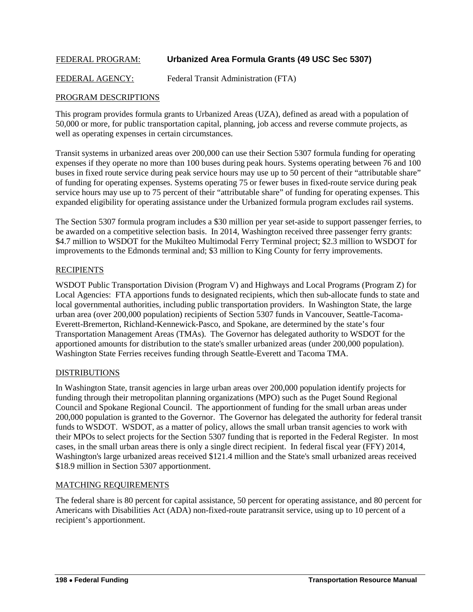### FEDERAL PROGRAM: **Urbanized Area Formula Grants (49 USC Sec 5307)**

FEDERAL AGENCY: Federal Transit Administration (FTA)

### PROGRAM DESCRIPTIONS

This program provides formula grants to Urbanized Areas (UZA), defined as aread with a population of 50,000 or more, for public transportation capital, planning, job access and reverse commute projects, as well as operating expenses in certain circumstances.

Transit systems in urbanized areas over 200,000 can use their Section 5307 formula funding for operating expenses if they operate no more than 100 buses during peak hours. Systems operating between 76 and 100 buses in fixed route service during peak service hours may use up to 50 percent of their "attributable share" of funding for operating expenses. Systems operating 75 or fewer buses in fixed-route service during peak service hours may use up to 75 percent of their "attributable share" of funding for operating expenses. This expanded eligibility for operating assistance under the Urbanized formula program excludes rail systems.

The Section 5307 formula program includes a \$30 million per year set-aside to support passenger ferries, to be awarded on a competitive selection basis. In 2014, Washington received three passenger ferry grants: \$4.7 million to WSDOT for the Mukilteo Multimodal Ferry Terminal project; \$2.3 million to WSDOT for improvements to the Edmonds terminal and; \$3 million to King County for ferry improvements.

#### **RECIPIENTS**

WSDOT Public Transportation Division (Program V) and Highways and Local Programs (Program Z) for Local Agencies: FTA apportions funds to designated recipients, which then sub-allocate funds to state and local governmental authorities, including public transportation providers. In Washington State, the large urban area (over 200,000 population) recipients of Section 5307 funds in Vancouver, Seattle-Tacoma-Everett-Bremerton, Richland-Kennewick-Pasco, and Spokane, are determined by the state's four Transportation Management Areas (TMAs). The Governor has delegated authority to WSDOT for the apportioned amounts for distribution to the state's smaller urbanized areas (under 200,000 population). Washington State Ferries receives funding through Seattle-Everett and Tacoma TMA.

### **DISTRIBUTIONS**

In Washington State, transit agencies in large urban areas over 200,000 population identify projects for funding through their metropolitan planning organizations (MPO) such as the Puget Sound Regional Council and Spokane Regional Council. The apportionment of funding for the small urban areas under 200,000 population is granted to the Governor. The Governor has delegated the authority for federal transit funds to WSDOT. WSDOT, as a matter of policy, allows the small urban transit agencies to work with their MPOs to select projects for the Section 5307 funding that is reported in the Federal Register. In most cases, in the small urban areas there is only a single direct recipient. In federal fiscal year (FFY) 2014, Washington's large urbanized areas received \$121.4 million and the State's small urbanized areas received \$18.9 million in Section 5307 apportionment.

#### MATCHING REQUIREMENTS

The federal share is 80 percent for capital assistance, 50 percent for operating assistance, and 80 percent for Americans with Disabilities Act (ADA) non-fixed-route paratransit service, using up to 10 percent of a recipient's apportionment.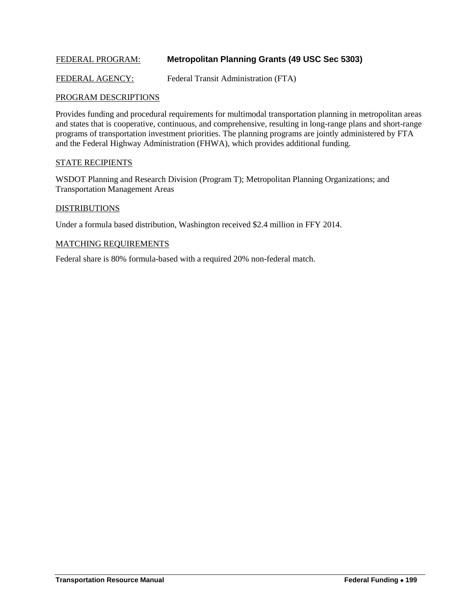### FEDERAL PROGRAM: **Metropolitan Planning Grants (49 USC Sec 5303)**

FEDERAL AGENCY: Federal Transit Administration (FTA)

#### PROGRAM DESCRIPTIONS

Provides funding and procedural requirements for multimodal transportation planning in metropolitan areas and states that is cooperative, continuous, and comprehensive, resulting in long-range plans and short-range programs of transportation investment priorities. The planning programs are jointly administered by FTA and the Federal Highway Administration (FHWA), which provides additional funding.

#### STATE RECIPIENTS

WSDOT Planning and Research Division (Program T); Metropolitan Planning Organizations; and Transportation Management Areas

#### **DISTRIBUTIONS**

Under a formula based distribution, Washington received \$2.4 million in FFY 2014.

#### MATCHING REQUIREMENTS

Federal share is 80% formula-based with a required 20% non-federal match.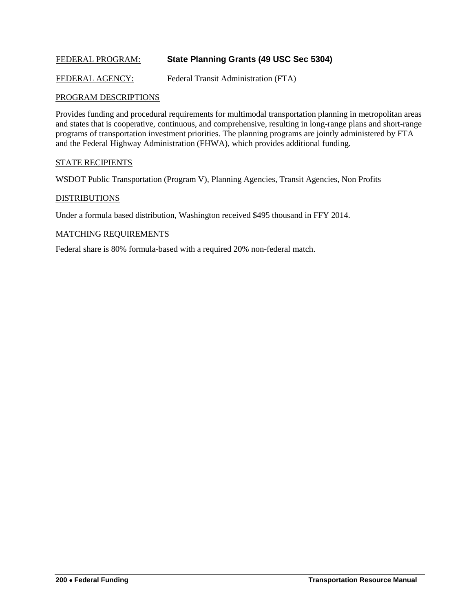### FEDERAL PROGRAM: **State Planning Grants (49 USC Sec 5304)**

FEDERAL AGENCY: Federal Transit Administration (FTA)

#### PROGRAM DESCRIPTIONS

Provides funding and procedural requirements for multimodal transportation planning in metropolitan areas and states that is cooperative, continuous, and comprehensive, resulting in long-range plans and short-range programs of transportation investment priorities. The planning programs are jointly administered by FTA and the Federal Highway Administration (FHWA), which provides additional funding.

#### STATE RECIPIENTS

WSDOT Public Transportation (Program V), Planning Agencies, Transit Agencies, Non Profits

#### **DISTRIBUTIONS**

Under a formula based distribution, Washington received \$495 thousand in FFY 2014.

#### MATCHING REQUIREMENTS

Federal share is 80% formula-based with a required 20% non-federal match.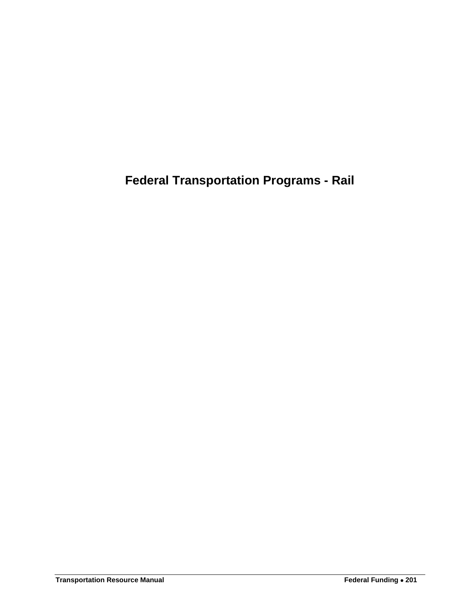**Federal Transportation Programs - Rail**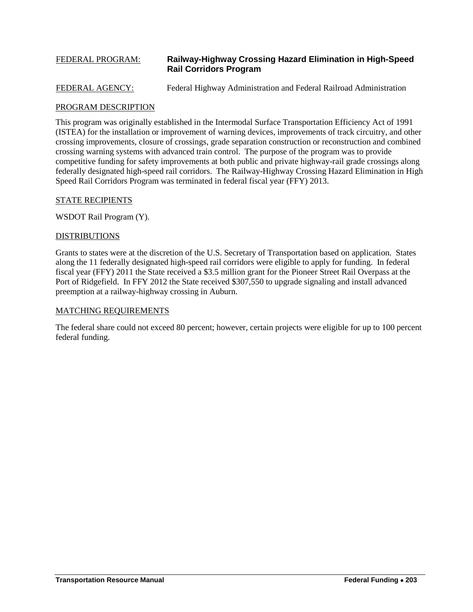# FEDERAL PROGRAM: **Railway-Highway Crossing Hazard Elimination in High-Speed Rail Corridors Program**

### FEDERAL AGENCY: Federal Highway Administration and Federal Railroad Administration

#### PROGRAM DESCRIPTION

This program was originally established in the Intermodal Surface Transportation Efficiency Act of 1991 (ISTEA) for the installation or improvement of warning devices, improvements of track circuitry, and other crossing improvements, closure of crossings, grade separation construction or reconstruction and combined crossing warning systems with advanced train control. The purpose of the program was to provide competitive funding for safety improvements at both public and private highway-rail grade crossings along federally designated high-speed rail corridors. The Railway-Highway Crossing Hazard Elimination in High Speed Rail Corridors Program was terminated in federal fiscal year (FFY) 2013.

#### STATE RECIPIENTS

WSDOT Rail Program (Y).

#### **DISTRIBUTIONS**

Grants to states were at the discretion of the U.S. Secretary of Transportation based on application. States along the 11 federally designated high-speed rail corridors were eligible to apply for funding. In federal fiscal year (FFY) 2011 the State received a \$3.5 million grant for the Pioneer Street Rail Overpass at the Port of Ridgefield. In FFY 2012 the State received \$307,550 to upgrade signaling and install advanced preemption at a railway-highway crossing in Auburn.

#### MATCHING REQUIREMENTS

The federal share could not exceed 80 percent; however, certain projects were eligible for up to 100 percent federal funding.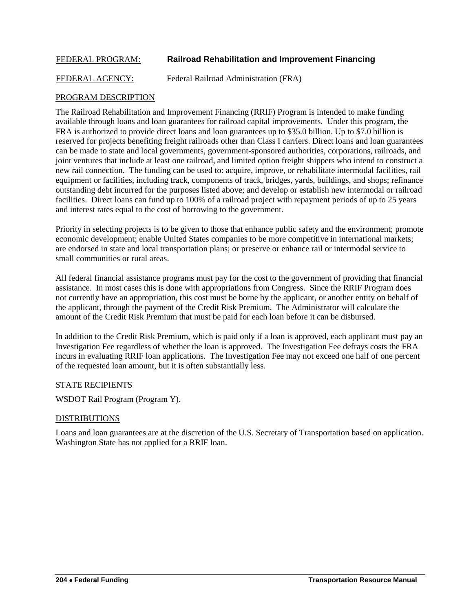### FEDERAL PROGRAM: **Railroad Rehabilitation and Improvement Financing**

FEDERAL AGENCY: Federal Railroad Administration (FRA)

### PROGRAM DESCRIPTION

The Railroad Rehabilitation and Improvement Financing (RRIF) Program is intended to make funding available through loans and loan guarantees for railroad capital improvements. Under this program, the FRA is authorized to provide direct loans and loan guarantees up to \$35.0 billion. Up to \$7.0 billion is reserved for projects benefiting freight railroads other than Class I carriers. Direct loans and loan guarantees can be made to state and local governments, government-sponsored authorities, corporations, railroads, and joint ventures that include at least one railroad, and limited option freight shippers who intend to construct a new rail connection. The funding can be used to: acquire, improve, or rehabilitate intermodal facilities, rail equipment or facilities, including track, components of track, bridges, yards, buildings, and shops; refinance outstanding debt incurred for the purposes listed above; and develop or establish new intermodal or railroad facilities. Direct loans can fund up to 100% of a railroad project with repayment periods of up to 25 years and interest rates equal to the cost of borrowing to the government.

Priority in selecting projects is to be given to those that enhance public safety and the environment; promote economic development; enable United States companies to be more competitive in international markets; are endorsed in state and local transportation plans; or preserve or enhance rail or intermodal service to small communities or rural areas.

All federal financial assistance programs must pay for the cost to the government of providing that financial assistance. In most cases this is done with appropriations from Congress. Since the RRIF Program does not currently have an appropriation, this cost must be borne by the applicant, or another entity on behalf of the applicant, through the payment of the Credit Risk Premium. The Administrator will calculate the amount of the Credit Risk Premium that must be paid for each loan before it can be disbursed.

In addition to the Credit Risk Premium, which is paid only if a loan is approved, each applicant must pay an Investigation Fee regardless of whether the loan is approved. The Investigation Fee defrays costs the FRA incurs in evaluating RRIF loan applications. The Investigation Fee may not exceed one half of one percent of the requested loan amount, but it is often substantially less.

#### STATE RECIPIENTS

WSDOT Rail Program (Program Y).

#### DISTRIBUTIONS

Loans and loan guarantees are at the discretion of the U.S. Secretary of Transportation based on application. Washington State has not applied for a RRIF loan.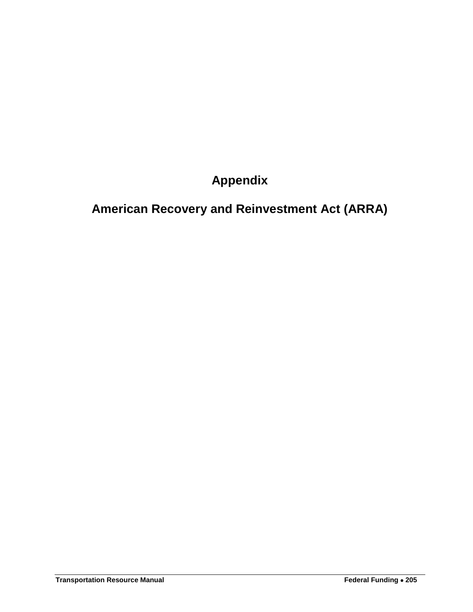**Appendix**

**American Recovery and Reinvestment Act (ARRA)**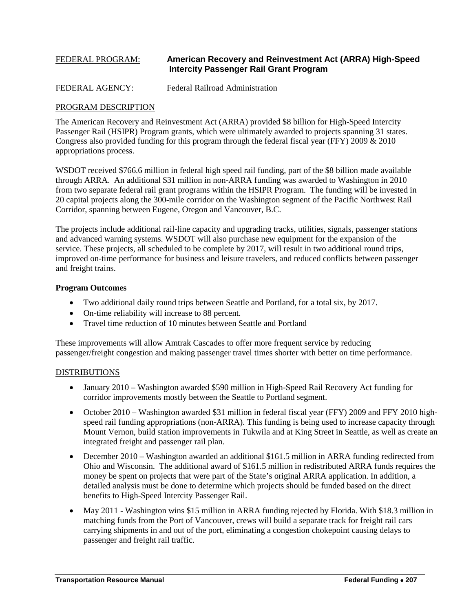### FEDERAL PROGRAM: **American Recovery and Reinvestment Act (ARRA) High-Speed Intercity Passenger Rail Grant Program**

#### FEDERAL AGENCY: Federal Railroad Administration

#### PROGRAM DESCRIPTION

The American Recovery and Reinvestment Act (ARRA) provided \$8 billion for High-Speed Intercity Passenger Rail (HSIPR) Program grants, which were ultimately awarded to projects spanning 31 states. Congress also provided funding for this program through the federal fiscal year (FFY) 2009 & 2010 appropriations process.

WSDOT received \$766.6 million in federal high speed rail funding, part of the \$8 billion made available through ARRA. An additional \$31 million in non-ARRA funding was awarded to Washington in 2010 from two separate federal rail grant programs within the HSIPR Program. The funding will be invested in 20 capital projects along the 300-mile corridor on the Washington segment of the Pacific Northwest Rail Corridor, spanning between Eugene, Oregon and Vancouver, B.C.

The projects include additional rail-line capacity and upgrading tracks, utilities, signals, passenger stations and advanced warning systems. WSDOT will also purchase new equipment for the expansion of the service. These projects, all scheduled to be complete by 2017, will result in two additional round trips, improved on-time performance for business and leisure travelers, and reduced conflicts between passenger and freight trains.

#### **Program Outcomes**

- Two additional daily round trips between Seattle and Portland, for a total six, by 2017.
- On-time reliability will increase to 88 percent.
- Travel time reduction of 10 minutes between Seattle and Portland

These improvements will allow Amtrak Cascades to offer more frequent service by reducing passenger/freight congestion and making passenger travel times shorter with better on time performance.

#### DISTRIBUTIONS

- January 2010 Washington awarded \$590 million in High-Speed Rail Recovery Act funding for corridor improvements mostly between the Seattle to Portland segment.
- October 2010 Washington awarded \$31 million in federal fiscal year (FFY) 2009 and FFY 2010 highspeed rail funding appropriations (non-ARRA). This funding is being used to increase capacity through Mount Vernon, build station improvements in Tukwila and at King Street in Seattle, as well as create an integrated freight and passenger rail plan.
- December 2010 Washington awarded an additional \$161.5 million in ARRA funding redirected from Ohio and Wisconsin. The additional award of \$161.5 million in redistributed ARRA funds requires the money be spent on projects that were part of the State's original ARRA application. In addition, a detailed analysis must be done to determine which projects should be funded based on the direct benefits to High-Speed Intercity Passenger Rail.
- May 2011 Washington wins \$15 million in ARRA funding rejected by Florida. With \$18.3 million in matching funds from the Port of Vancouver, crews will build a separate track for freight rail cars carrying shipments in and out of the port, eliminating a congestion chokepoint causing delays to passenger and freight rail traffic.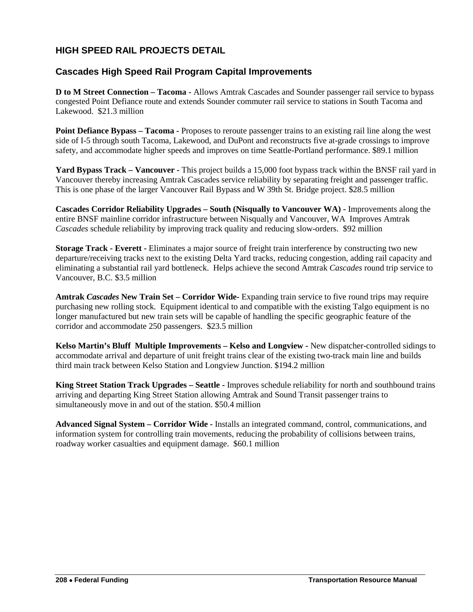# **HIGH SPEED RAIL PROJECTS DETAIL**

### **Cascades High Speed Rail Program Capital Improvements**

**D to M Street Connection – Tacoma -** Allows Amtrak Cascades and Sounder passenger rail service to bypass congested Point Defiance route and extends Sounder commuter rail service to stations in South Tacoma and Lakewood. \$21.3 million

**Point Defiance Bypass – <b>Tacoma** - Proposes to reroute passenger trains to an existing rail line along the west side of I-5 through south Tacoma, Lakewood, and DuPont and reconstructs five at-grade crossings to improve safety, and accommodate higher speeds and improves on time Seattle-Portland performance. \$89.1 million

**Yard Bypass Track – Vancouver -** This project builds a 15,000 foot bypass track within the BNSF rail yard in Vancouver thereby increasing Amtrak Cascades service reliability by separating freight and passenger traffic. This is one phase of the larger Vancouver Rail Bypass and W 39th St. Bridge project. \$28.5 million

**Cascades Corridor Reliability Upgrades – South (Nisqually to Vancouver WA) -** Improvements along the entire BNSF mainline corridor infrastructure between Nisqually and Vancouver, WA Improves Amtrak *Cascades* schedule reliability by improving track quality and reducing slow-orders. \$92 million

**Storage Track - Everett -** Eliminates a major source of freight train interference by constructing two new departure/receiving tracks next to the existing Delta Yard tracks, reducing congestion, adding rail capacity and eliminating a substantial rail yard bottleneck. Helps achieve the second Amtrak *Cascades* round trip service to Vancouver, B.C. \$3.5 million

**Amtrak** *Cascades* **New Train Set – Corridor Wide-** Expanding train service to five round trips may require purchasing new rolling stock. Equipment identical to and compatible with the existing Talgo equipment is no longer manufactured but new train sets will be capable of handling the specific geographic feature of the corridor and accommodate 250 passengers. \$23.5 million

**Kelso Martin's Bluff Multiple Improvements – Kelso and Longview -** New dispatcher-controlled sidings to accommodate arrival and departure of unit freight trains clear of the existing two-track main line and builds third main track between Kelso Station and Longview Junction. \$194.2 million

**King Street Station Track Upgrades – Seattle -** Improves schedule reliability for north and southbound trains arriving and departing King Street Station allowing Amtrak and Sound Transit passenger trains to simultaneously move in and out of the station. \$50.4 million

**Advanced Signal System – Corridor Wide -** Installs an integrated command, control, communications, and information system for controlling train movements, reducing the probability of collisions between trains, roadway worker casualties and equipment damage. \$60.1 million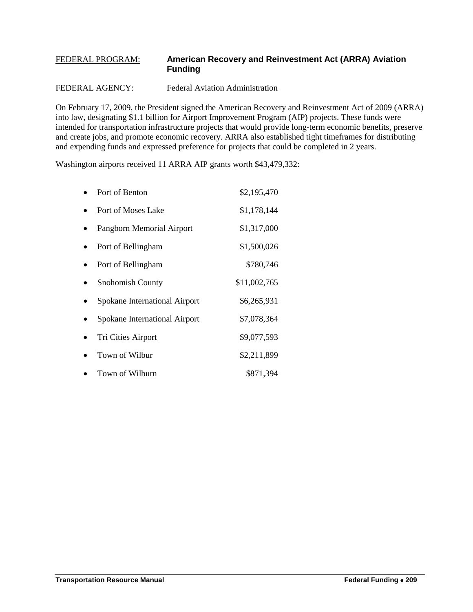# FEDERAL PROGRAM: **American Recovery and Reinvestment Act (ARRA) Aviation Funding**

### FEDERAL AGENCY: Federal Aviation Administration

On February 17, 2009, the President signed the American Recovery and Reinvestment Act of 2009 (ARRA) into law, designating \$1.1 billion for Airport Improvement Program (AIP) projects. These funds were intended for transportation infrastructure projects that would provide long-term economic benefits, preserve and create jobs, and promote economic recovery. ARRA also established tight timeframes for distributing and expending funds and expressed preference for projects that could be completed in 2 years.

Washington airports received 11 ARRA AIP grants worth \$43,479,332:

| Port of Benton                | \$2,195,470  |
|-------------------------------|--------------|
| Port of Moses Lake            | \$1,178,144  |
| Pangborn Memorial Airport     | \$1,317,000  |
| Port of Bellingham            | \$1,500,026  |
| Port of Bellingham            | \$780,746    |
| <b>Snohomish County</b>       | \$11,002,765 |
| Spokane International Airport | \$6,265,931  |
| Spokane International Airport | \$7,078,364  |
| Tri Cities Airport            | \$9,077,593  |
| Town of Wilbur                | \$2,211,899  |
| Town of Wilburn               | \$871,394    |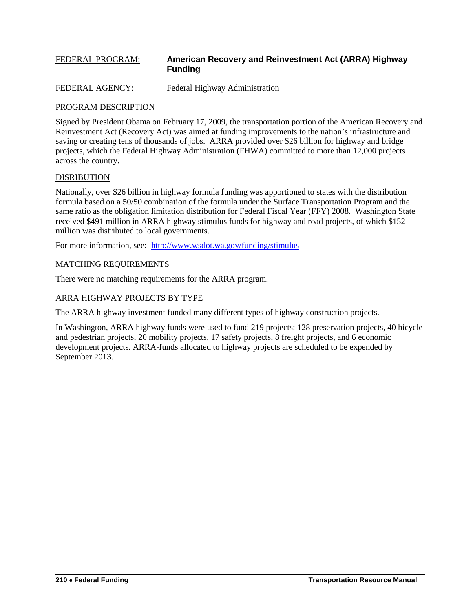# FEDERAL PROGRAM: **American Recovery and Reinvestment Act (ARRA) Highway Funding**

FEDERAL AGENCY: Federal Highway Administration

#### PROGRAM DESCRIPTION

Signed by President Obama on February 17, 2009, the transportation portion of the American Recovery and Reinvestment Act (Recovery Act) was aimed at funding improvements to the nation's infrastructure and saving or creating tens of thousands of jobs. ARRA provided over \$26 billion for highway and bridge projects, which the Federal Highway Administration (FHWA) committed to more than 12,000 projects across the country.

#### DISRIBUTION

Nationally, over \$26 billion in highway formula funding was apportioned to states with the distribution formula based on a 50/50 combination of the formula under the Surface Transportation Program and the same ratio as the obligation limitation distribution for Federal Fiscal Year (FFY) 2008. Washington State received \$491 million in ARRA highway stimulus funds for highway and road projects, of which \$152 million was distributed to local governments.

For more information, see: <http://www.wsdot.wa.gov/funding/stimulus>

#### MATCHING REQUIREMENTS

There were no matching requirements for the ARRA program.

#### ARRA HIGHWAY PROJECTS BY TYPE

The ARRA highway investment funded many different types of highway construction projects.

In Washington, ARRA highway funds were used to fund 219 projects: 128 preservation projects, 40 bicycle and pedestrian projects, 20 mobility projects, 17 safety projects, 8 freight projects, and 6 economic development projects. ARRA-funds allocated to highway projects are scheduled to be expended by September 2013.